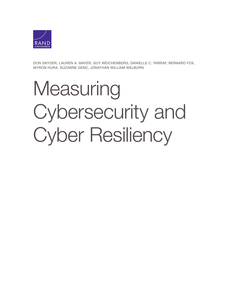

DON SNYDER, LAUREN A. MAYER, GUY WEICHENBERG, DANIELLE C. TARRAF, BERNARD FOX, MYRON HURA, SUZANNE GENC, JONATHAN WILLIAM WELBURN

# **Measuring** [Cybersecurity and](https://www.rand.org/pubs/research_reports/RR2703.html) Cyber Resiliency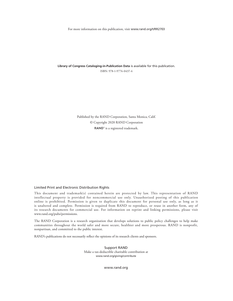For more information on this publication, visit [www.rand.org/t/RR2703](http://www.rand.org/t/RR2703)

**Library of Congress Cataloging-in-Publication Data** is available for this publication. ISBN: 978-1-9774-0437-4

> Published by the RAND Corporation, Santa Monica, Calif. © Copyright 2020 RAND Corporation RAND<sup>®</sup> is a registered trademark.

#### Limited Print and Electronic Distribution Rights

This document and trademark(s) contained herein are protected by law. This representation of RAND intellectual property is provided for noncommercial use only. Unauthorized posting of this publication online is prohibited. Permission is given to duplicate this document for personal use only, as long as it is unaltered and complete. Permission is required from RAND to reproduce, or reuse in another form, any of its research documents for commercial use. For information on reprint and linking permissions, please visit [www.rand.org/pubs/permissions.](http://www.rand.org/pubs/permissions)

The RAND Corporation is a research organization that develops solutions to public policy challenges to help make communities throughout the world safer and more secure, healthier and more prosperous. RAND is nonprofit, nonpartisan, and committed to the public interest.

RAND's publications do not necessarily reflect the opinions of its research clients and sponsors.

Support RAND Make a tax-deductible charitable contribution at [www.rand.org/giving/contribute](http://www.rand.org/giving/contribute)

[www.rand.org](http://www.rand.org)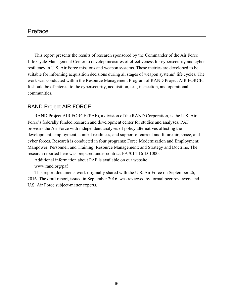# Preface

This report presents the results of research sponsored by the Commander of the Air Force Life Cycle Management Center to develop measures of effectiveness for cybersecurity and cyber resiliency in U.S. Air Force missions and weapon systems. These metrics are developed to be suitable for informing acquisition decisions during all stages of weapon systems' life cycles. The work was conducted within the Resource Management Program of RAND Project AIR FORCE. It should be of interest to the cybersecurity, acquisition, test, inspection, and operational communities.

# RAND Project AIR FORCE

RAND Project AIR FORCE (PAF), a division of the RAND Corporation, is the U.S. Air Force's federally funded research and development center for studies and analyses. PAF provides the Air Force with independent analyses of policy alternatives affecting the development, employment, combat readiness, and support of current and future air, space, and cyber forces. Research is conducted in four programs: Force Modernization and Employment; Manpower, Personnel, and Training; Resource Management; and Strategy and Doctrine. The research reported here was prepared under contract FA7014-16-D-1000.

Additional information about PAF is available on our website: [www.rand.org/paf](http://www.rand.org/paf) 

This report documents work originally shared with the U.S. Air Force on September 26, 2016. The draft report, issued in September 2016, was reviewed by formal peer reviewers and U.S. Air Force subject-matter experts.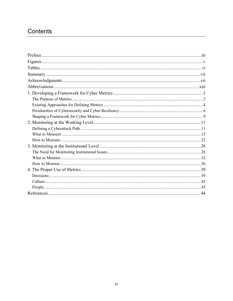# Contents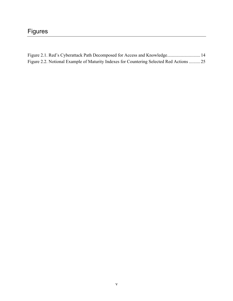| Figure 2.1. Red's Cyberattack Path Decomposed for Access and Knowledge 14                |  |
|------------------------------------------------------------------------------------------|--|
| Figure 2.2. Notional Example of Maturity Indexes for Countering Selected Red Actions  25 |  |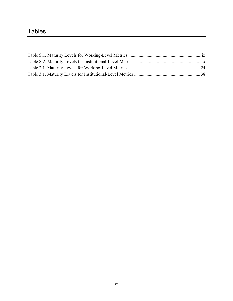# **Tables**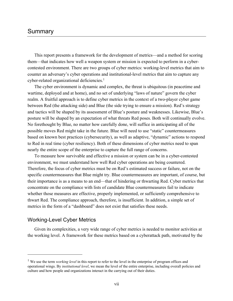# Summary

This report presents a framework for the development of metrics—and a method for scoring them—that indicates how well a weapon system or mission is expected to perform in a cybercontested environment. There are two groups of cyber metrics: working-level metrics that aim to counter an adversary's cyber operations and institutional-level metrics that aim to capture any cyber-related organizational deficiencies.<sup>1</sup>

The cyber environment is dynamic and complex, the threat is ubiquitous (in peacetime and wartime, deployed and at home), and no set of underlying "laws of nature" govern the cyber realm. A fruitful approach is to define cyber metrics in the context of a two-player cyber game between Red (the attacking side) and Blue (the side trying to ensure a mission). Red's strategy and tactics will be shaped by its assessment of Blue's posture and weaknesses. Likewise, Blue's posture will be shaped by an expectation of what threats Red poses. Both will continually evolve. No forethought by Blue, no matter how carefully done, will suffice in anticipating all of the possible moves Red might take in the future. Blue will need to use "static" countermeasures based on known best practices (cybersecurity), as well as adaptive, "dynamic" actions to respond to Red in real time (cyber resiliency). Both of these dimensions of cyber metrics need to span nearly the entire scope of the enterprise to capture the full range of concerns.

To measure how survivable and effective a mission or system can be in a cyber-contested environment, we must understand how well Red cyber operations are being countered. Therefore, the focus of cyber metrics must be on Red's estimated success or failure, not on the specific countermeasures that Blue might try. Blue countermeasures are important, of course, but their importance is as a means to an end—that of hindering or thwarting Red. Cyber metrics that concentrate on the compliance with lists of candidate Blue countermeasures fail to indicate whether those measures are effective, properly implemented, or sufficiently comprehensive to thwart Red. The compliance approach, therefore, is insufficient. In addition, a simple set of metrics in the form of a "dashboard" does not exist that satisfies these needs.

# Working-Level Cyber Metrics

Given its complexities, a very wide range of cyber metrics is needed to monitor activities at the working level. A framework for these metrics based on a cyberattack path, motivated by the

<sup>1</sup> We use the term *working level* in this report to refer to the level in the enterprise of program offices and operational wings. By *institutional level*, we mean the level of the entire enterprise, including overall policies and culture and how people and organizations interact in the carrying out of their duties.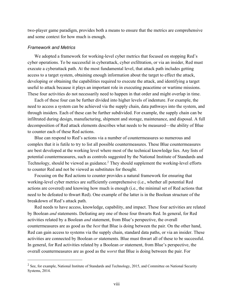two-player game paradigm, provides both a means to ensure that the metrics are comprehensive and some context for how much is enough.

#### *Framework and Metrics*

We adopted a framework for working-level cyber metrics that focused on stopping Red's cyber operations. To be successful in cyberattack, cyber exfiltration, or via an insider, Red must execute a cyberattack path. At the most fundamental level, that attack path includes getting access to a target system, obtaining enough information about the target to effect the attack, developing or obtaining the capabilities required to execute the attack, and identifying a target useful to attack because it plays an important role in executing peacetime or wartime missions. These four activities do not necessarily need to happen in that order and might overlap in time.

Each of these four can be further divided into higher levels of indenture. For example, the need to access a system can be achieved via the supply chain, data pathways into the system, and through insiders. Each of these can be further subdivided. For example, the supply chain can be infiltrated during design, manufacturing, shipment and storage, maintenance, and disposal. A full decomposition of Red attack elements describes what needs to be measured—the ability of Blue to counter each of these Red actions.

Blue can respond to Red's actions via a number of countermeasures so numerous and complex that it is futile to try to list all possible countermeasures. These Blue countermeasures are best developed at the working level where most of the technical knowledge lies. Any lists of potential countermeasures, such as controls suggested by the National Institute of Standards and Technology, should be viewed as guidance.<sup>2</sup> They should supplement the working-level efforts to counter Red and not be viewed as substitutes for thought.

Focusing on the Red actions to counter provides a natural framework for ensuring that working-level cyber metrics are sufficiently comprehensive (i.e., whether all potential Red actions are covered) and knowing how much is enough (i.e., the minimal set of Red actions that need to be defeated to thwart Red). One example of the latter is in the Boolean structure of the breakdown of Red's attack path.

Red needs to have access, knowledge, capability, and impact. These four activities are related by Boolean *and* statements. Defeating any one of those four thwarts Red. In general, for Red activities related by a Boolean *and* statement, from Blue's perspective, the overall countermeasures are as good as the *best* that Blue is doing between the pair. On the other hand, Red can gain access to systems via the supply chain, standard data paths, or via an insider. These activities are connected by Boolean *or* statements. Blue must thwart all of these to be successful. In general, for Red activities related by a Boolean *or* statement, from Blue's perspective, the overall countermeasures are as good as the *worst* that Blue is doing between the pair. For

 $2$  See, for example, National Institute of Standards and Technology, 2015, and Committee on National Security Systems, 2014.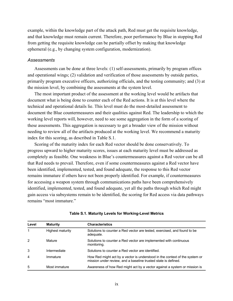example, within the knowledge part of the attack path, Red must get the requisite knowledge, and that knowledge must remain current. Therefore, poor performance by Blue in stopping Red from getting the requisite knowledge can be partially offset by making that knowledge ephemeral (e.g., by changing system configuration, modernization).

#### *Assessments*

Assessments can be done at three levels: (1) self-assessments, primarily by program offices and operational wings; (2) validation and verification of those assessments by outside parties, primarily program executive officers, authorizing officials, and the testing community; and (3) at the mission level, by combining the assessments at the system level.

The most important product of the assessment at the working level would be artifacts that document what is being done to counter each of the Red actions. It is at this level where the technical and operational details lie. This level must do the most-detailed assessment to document the Blue countermeasures and their qualities against Red. The leadership to which the working level reports will, however, need to see some aggregation in the form of a scoring of these assessments. This aggregation is necessary to get a broader view of the mission without needing to review all of the artifacts produced at the working level. We recommend a maturity index for this scoring, as described in Table S.1.

Scoring of the maturity index for each Red vector should be done conservatively. To progress upward to higher maturity scores, issues at each maturity level must be addressed as completely as feasible. One weakness in Blue's countermeasures against a Red vector can be all that Red needs to prevail. Therefore, even if some countermeasures against a Red vector have been identified, implemented, tested, and found adequate, the response to this Red vector remains immature if others have not been properly identified. For example, if countermeasures for accessing a weapon system through communications paths have been comprehensively identified, implemented, tested, and found adequate, yet all the paths through which Red might gain access via subsystems remain to be identified, the scoring for Red access via data pathways remains "most immature."

| Level | <b>Maturity</b>  | <b>Characteristics</b>                                                                                                                        |
|-------|------------------|-----------------------------------------------------------------------------------------------------------------------------------------------|
| 1     | Highest maturity | Solutions to counter a Red vector are tested, exercised, and found to be<br>adequate.                                                         |
| 2     | Mature           | Solutions to counter a Red vector are implemented with continuous<br>monitoring.                                                              |
| 3     | Intermediate     | Solutions to counter a Red vector are identified.                                                                                             |
| 4     | Immature         | How Red might act by a vector is understood in the context of the system or<br>mission under review, and a baseline trusted state is defined. |
| 5     | Most immature    | Awareness of how Red might act by a vector against a system or mission is                                                                     |

|  |  | Table S.1. Maturity Levels for Working-Level Metrics |
|--|--|------------------------------------------------------|
|--|--|------------------------------------------------------|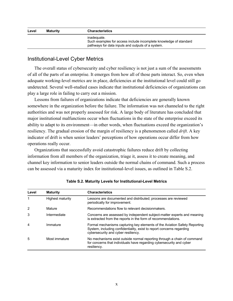| Maturity<br>Level | <b>Characteristics</b>                                                                                                                |
|-------------------|---------------------------------------------------------------------------------------------------------------------------------------|
|                   | inadequate.<br>Such examples for access include incomplete knowledge of standard<br>pathways for data inputs and outputs of a system. |

# Institutional-Level Cyber Metrics

The overall status of cybersecurity and cyber resiliency is not just a sum of the assessments of all of the parts of an enterprise. It emerges from how all of those parts interact. So, even when adequate working-level metrics are in place, deficiencies at the institutional level could still go undetected. Several well-studied cases indicate that institutional deficiencies of organizations can play a large role in failing to carry out a mission.

Lessons from failures of organizations indicate that deficiencies are generally known somewhere in the organization before the failure. The information was not channeled to the right authorities and was not properly assessed for risk. A large body of literature has concluded that major institutional malfunctions occur when fluctuations in the state of the enterprise exceed its ability to adapt to its environment—in other words, when fluctuations exceed the organization's resiliency. The gradual erosion of the margin of resiliency is a phenomenon called *drift*. A key indicator of drift is when senior leaders' perceptions of how operations occur differ from how operations really occur.

Organizations that successfully avoid catastrophic failures reduce drift by collecting information from all members of the organization, triage it, assess it to create meaning, and channel key information to senior leaders outside the normal chains of command. Such a process can be assessed via a maturity index for institutional-level issues, as outlined in Table S.2.

| Level | <b>Maturity</b>  | <b>Characteristics</b>                                                                                                                                                                    |
|-------|------------------|-------------------------------------------------------------------------------------------------------------------------------------------------------------------------------------------|
| 1     | Highest maturity | Lessons are documented and distributed; processes are reviewed<br>periodically for improvement.                                                                                           |
| 2     | Mature           | Recommendations flow to relevant decision makers.                                                                                                                                         |
| 3     | Intermediate     | Concerns are assessed by independent subject-matter experts and meaning<br>is extracted from the reports in the form of recommendations.                                                  |
| 4     | Immature         | Formal mechanisms capturing key elements of the Aviation Safety Reporting<br>System, including confidentiality, exist to report concerns regarding<br>cybersecurity and cyber resiliency. |
| 5     | Most immature    | No mechanisms exist outside normal reporting through a chain of command<br>for concerns that individuals have regarding cybersecurity and cyber<br>resiliency.                            |

|  |  | Table S.2. Maturity Levels for Institutional-Level Metrics |  |
|--|--|------------------------------------------------------------|--|
|--|--|------------------------------------------------------------|--|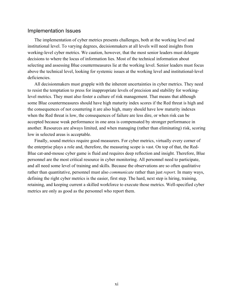# Implementation Issues

The implementation of cyber metrics presents challenges, both at the working level and institutional level. To varying degrees, decisionmakers at all levels will need insights from working-level cyber metrics. We caution, however, that the most senior leaders must delegate decisions to where the locus of information lies. Most of the technical information about selecting and assessing Blue countermeasures lie at the working level. Senior leaders must focus above the technical level, looking for systemic issues at the working level and institutional-level deficiencies.

All decisionmakers must grapple with the inherent uncertainties in cyber metrics. They need to resist the temptation to press for inappropriate levels of precision and stability for workinglevel metrics. They must also foster a culture of risk management. That means that although some Blue countermeasures should have high maturity index scores if the Red threat is high and the consequences of not countering it are also high, many should have low maturity indexes when the Red threat is low, the consequences of failure are less dire, or when risk can be accepted because weak performance in one area is compensated by stronger performance in another. Resources are always limited, and when managing (rather than eliminating) risk, scoring low in selected areas is acceptable.

Finally, sound metrics require good measurers. For cyber metrics, virtually every corner of the enterprise plays a role and, therefore, the measuring scope is vast. On top of that, the Red-Blue cat-and-mouse cyber game is fluid and requires deep reflection and insight. Therefore, Blue personnel are the most critical resource in cyber monitoring. All personnel need to participate, and all need some level of training and skills. Because the observations are so often qualitative rather than quantitative, personnel must also *communicate* rather than just *report*. In many ways, defining the right cyber metrics is the easier, first step. The hard, next step is hiring, training, retaining, and keeping current a skilled workforce to execute those metrics. Well-specified cyber metrics are only as good as the personnel who report them.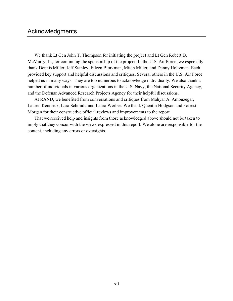# Acknowledgments

We thank Lt Gen John T. Thompson for initiating the project and Lt Gen Robert D. McMurry, Jr., for continuing the sponsorship of the project. In the U.S. Air Force, we especially thank Dennis Miller, Jeff Stanley, Eileen Bjorkman, Mitch Miller, and Danny Holtzman. Each provided key support and helpful discussions and critiques. Several others in the U.S. Air Force helped us in many ways. They are too numerous to acknowledge individually. We also thank a number of individuals in various organizations in the U.S. Navy, the National Security Agency, and the Defense Advanced Research Projects Agency for their helpful discussions.

At RAND, we benefited from conversations and critiques from Mahyar A. Amouzegar, Lauren Kendrick, Lara Schmidt, and Laura Werber. We thank Quentin Hodgson and Forrest Morgan for their constructive official reviews and improvements to the report.

That we received help and insights from those acknowledged above should not be taken to imply that they concur with the views expressed in this report. We alone are responsible for the content, including any errors or oversights.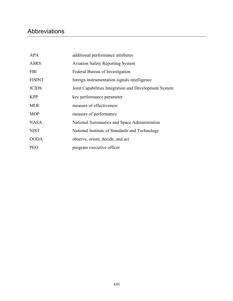# Abbreviations

| APA           | additional performance attributes                     |
|---------------|-------------------------------------------------------|
| <b>ASRS</b>   | <b>Aviation Safety Reporting System</b>               |
| <b>FBI</b>    | Federal Bureau of Investigation                       |
| <b>FISINT</b> | foreign instrumentation signals intelligence          |
| <b>JCIDS</b>  | Joint Capabilities Integration and Development System |
| <b>KPP</b>    | key performance parameter                             |
| <b>MOE</b>    | measure of effectiveness                              |
| <b>MOP</b>    | measure of performance                                |
| <b>NASA</b>   | National Aeronautics and Space Administration         |
| <b>NIST</b>   | National Institute of Standards and Technology        |
| <b>OODA</b>   | observe, orient, decide, and act                      |
| <b>PEO</b>    | program executive officer                             |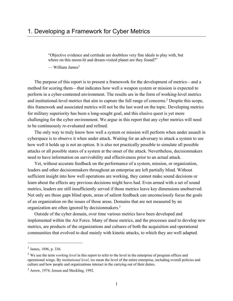"Objective evidence and certitude are doubtless very fine ideals to play with, but where on this moon-lit and dream-visited planet are they found?"

— William James $<sup>1</sup>$ </sup>

The purpose of this report is to present a framework for the development of metrics—and a method for scoring them—that indicates how well a weapon system or mission is expected to perform in a cyber-contested environment. The results are in the form of working-level metrics and institutional-level metrics that aim to capture the full range of concerns.<sup>2</sup> Despite this scope, this framework and associated metrics will not be the last word on the topic. Developing metrics for military superiority has been a long-sought goal, and this elusive quest is yet more challenging for the cyber environment. We argue in this report that any cyber metrics will need to be continuously re-evaluated and refined.

The only way to truly know how well a system or mission will perform when under assault in cyberspace is to observe it when under attack. Waiting for an adversary to attack a system to see how well it holds up is not an option. It is also not practically possible to simulate all possible attacks or all possible states of a system at the onset of the attack. Nevertheless, decisionmakers need to have information on survivability and effectiveness prior to an actual attack.

Yet, without accurate feedback on the performance of a system, mission, or organization, leaders and other decisionmakers throughout an enterprise are left partially blind. Without sufficient insight into how well operations are working, they cannot make sound decisions or learn about the effects any previous decisions might have had. Even armed with a set of sound metrics, leaders are still insufficiently served if those metrics leave key dimensions unobserved. Not only are those gaps blind spots, areas of salient feedback can unconsciously focus the goals of an organization on the issues of those areas. Domains that are not measured by an organization are often ignored by decisionmakers.<sup>3</sup>

Outside of the cyber domain, over time various metrics have been developed and implemented within the Air Force. Many of these metrics, and the processes used to develop new metrics, are products of the organizations and cultures of both the acquisition and operational communities that evolved to deal mainly with kinetic attacks, to which they are well adapted.

 $<sup>1</sup>$  James, 1896, p. 336.</sup>

<sup>2</sup> We use the term *working level* in this report to refer to the level in the enterprise of program offices and operational wings. By *institutional level*, we mean the level of the entire enterprise, including overall policies and culture and how people and organizations interact in the carrying out of their duties.

<sup>3</sup> Arrow, 1974; Jensen and Meckling, 1992.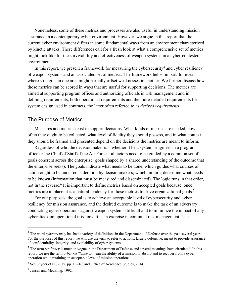Nonetheless, some of these metrics and processes are also useful in understanding mission assurance in a contemporary cyber environment. However, we argue in this report that the current cyber environment differs in some fundamental ways from an environment characterized by kinetic attacks. These differences call for a fresh look at what a comprehensive set of metrics might look like for the survivability and effectiveness of weapon systems in a cyber-contested environment.

In this report, we present a framework for measuring the cybersecurity<sup>4</sup> and cyber resiliency<sup>5</sup> of weapon systems and an associated set of metrics. The framework helps, in part, to reveal where strengths in one area might partially offset weaknesses in another. We further discuss how those metrics can be scored in ways that are useful for supporting decisions. The metrics are aimed at supporting program offices and authorizing officials in risk management and in defining requirements, both operational requirements and the more-detailed requirements for system design used in contracts, the latter often referred to as *derived requirements*.

# The Purpose of Metrics

Measures and metrics exist to support decisions. What kinds of metrics are needed, how often they ought to be collected, what level of fidelity they should possess, and in what context they should be framed and presented depend on the decisions the metrics are meant to inform.

Regardless of who the decisionmaker is—whether it be a systems engineer in a program office or the Chief of Staff of the Air Force—all actors need to be guided by a common set of goals coherent across the enterprise (goals shaped by a shared understanding of the outcome that the enterprise seeks). The goals indicate what needs to be done, which guides what courses of action ought to be under consideration by decisionmakers, which, in turn, determine what needs to be known (information that must be measured and disseminated). The logic runs in that order, not in the reverse.<sup>6</sup> It is important to define metrics based on accepted goals because, once metrics are in place, it is a natural tendency for those metrics to drive organizational goals.<sup>7</sup>

For our purposes, the goal is to achieve an acceptable level of cybersecurity and cyber resiliency for mission assurance, and the desired outcome is to make the task of an adversary conducting cyber operations against weapon systems difficult and to minimize the impact of any cyberattack on operational missions. It is an exercise in continual risk management. The

<sup>4</sup> The word *cybersecurity* has had a variety of definitions in the Department of Defense over the past several years. For the purposes of this report, we will use the term to refer to actions, largely defensive, meant to provide assurance of confidentiality, integrity, and availability of cyber systems.

<sup>5</sup> The term *resiliency* is much in vogue in the Department of Defense and several meanings have circulated. In this report, we use the term *cyber resiliency* to mean the ability of a mission to absorb and to recover from a cyber operation while retaining an acceptable level of mission operations.

 $6$  See Snyder et al., 2015, pp. 13–16; and Office of Aerospace Studies, 2014.

<sup>7</sup> Jensen and Meckling, 1992.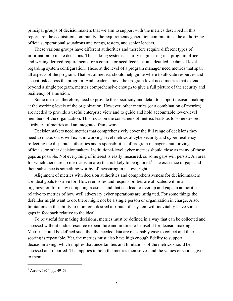principal groups of decisionmakers that we aim to support with the metrics described in this report are: the acquisition community, the requirements generation communities, the authorizing officials, operational squadrons and wings, testers, and senior leaders.

These various groups have different authorities and therefore require different types of information to make decisions. Those doing systems security engineering in a program office and writing derived requirements for a contractor need feedback at a detailed, technical level regarding system configuration. Those at the level of a program manager need metrics that span all aspects of the program. That set of metrics should help guide where to allocate resources and accept risk across the program. And, leaders above the program level need metrics that extend beyond a single program, metrics comprehensive enough to give a full picture of the security and resiliency of a mission.

Some metrics, therefore, need to provide the specificity and detail to support decisionmaking at the working levels of the organization. However, other metrics (or a combination of metrics) are needed to provide a useful enterprise view and to guide and hold accountable lower-level members of the organization. This focus on the consumers of metrics leads us to some desired attributes of metrics and an integrated framework.

Decisionmakers need metrics that comprehensively cover the full range of decisions they need to make. Gaps will exist in working-level metrics of cybersecurity and cyber resiliency reflecting the disparate authorities and responsibilities of program managers, authorizing officials, or other decisionmakers. Institutional-level cyber metrics should close as many of those gaps as possible. Not everything of interest is easily measured, so some gaps will persist. An area for which there are no metrics is an area that is likely to be ignored. $8$  The existence of gaps and their substance is something worthy of measuring in its own right.

Alignment of metrics with decision authorities and comprehensiveness for decisionmakers are ideal goals to strive for. However, roles and responsibilities are allocated within an organization for many competing reasons, and that can lead to overlap and gaps in authorities relative to metrics of how well adversary cyber operations are mitigated. For some things the defender might want to do, there might not be a single person or organization in charge. Also, limitations in the ability to monitor a desired attribute of a system will inevitably leave some gaps in feedback relative to the ideal.

To be useful for making decisions, metrics must be defined in a way that can be collected and assessed without undue resource expenditure and in time to be useful for decisionmaking. Metrics should be defined such that the needed data are reasonably easy to collect and their scoring is repeatable. Yet, the metrics must also have high enough fidelity to support decisionmaking, which implies that uncertainties and limitations of the metrics should be assessed and reported. That applies to both the metrics themselves and the values or scores given to them.

<sup>8</sup> Arrow, 1974, pp. 49–53.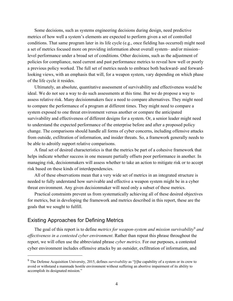Some decisions, such as systems engineering decisions during design, need predictive metrics of how well a system's elements are expected to perform given a set of controlled conditions. That same program later in its life cycle (e.g., once fielding has occurred) might need a set of metrics focused more on providing information about overall system– and/or mission– level performance under a broad set of conditions. Other decisions, such as the adjustment of policies for compliance, need current and past performance metrics to reveal how well or poorly a previous policy worked. The full set of metrics needs to embrace both backward- and forwardlooking views, with an emphasis that will, for a weapon system, vary depending on which phase of the life cycle it resides.

Ultimately, an absolute, quantitative assessment of survivability and effectiveness would be ideal. We do not see a way to do such assessments at this time. But we do propose a way to assess relative risk. Many decisionmakers face a need to compare alternatives. They might need to compare the performance of a program at different times. They might need to compare a system exposed to one threat environment versus another or compare the anticipated survivability and effectiveness of different designs for a system. Or, a senior leader might need to understand the expected performance of the enterprise before and after a proposed policy change. The comparisons should handle all forms of cyber concerns, including offensive attacks from outside, exfiltration of information, and insider threats. So, a framework generally needs to be able to adroitly support relative comparisons.

A final set of desired characteristics is that the metrics be part of a cohesive framework that helps indicate whether success in one measure partially offsets poor performance in another. In managing risk, decisionmakers will assess whether to take an action to mitigate risk or to accept risk based on these kinds of interdependencies.

All of these observations mean that a very wide set of metrics in an integrated structure is needed to fully understand how survivable and effective a weapon system might be in a cyber threat environment. Any given decisionmaker will need only a subset of these metrics.

Practical constraints prevent us from systematically achieving all of these desired objectives for metrics, but in developing the framework and metrics described in this report, these are the goals that we sought to fulfill.

# Existing Approaches for Defining Metrics

The goal of this report is to define *metrics for weapon-system and mission survivability*<sup>9</sup> *and effectiveness in a contested cyber environment*. Rather than repeat this phrase throughout the report, we will often use the abbreviated phrase *cyber metrics*. For our purposes, a contested cyber environment includes offensive attacks by an outsider, exfiltration of information, and

<sup>9</sup> The Defense Acquisition University, 2015, defines *survivability* as "[t]he capability of a system or its crew to avoid or withstand a manmade hostile environment without suffering an abortive impairment of its ability to accomplish its designated mission."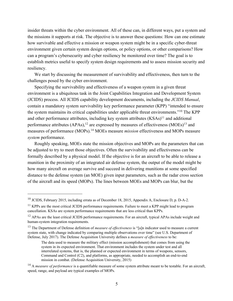insider threats within the cyber environment. All of these can, in different ways, put a system and the missions it supports at risk. The objective is to answer these questions: How can one estimate how survivable and effective a mission or weapon system might be in a specific cyber-threat environment given certain system design options, or policy options, or other comparisons? How can a program's cybersecurity and cyber resiliency be monitored over time? The goal is to establish metrics useful to specify system design requirements and to assess mission security and resiliency.

We start by discussing the measurement of survivability and effectiveness, then turn to the challenges posed by the cyber environment.

Specifying the survivability and effectiveness of a weapon system in a given threat environment is a ubiquitous task in the Joint Capabilities Integration and Development System (JCIDS) process. All JCIDS capability development documents, including the *JCIDS Manual*, contain a mandatory system survivability key performance parameter (KPP) "intended to ensure the system maintains its critical capabilities under applicable threat environments."10 The KPP and other performance attributes, including key system attributes  $(KSAs)^{11}$  and additional performance attributes  $(APAs)$ ,<sup>12</sup> are expressed by measures of effectiveness  $(MOEs)$ <sup>13</sup> and measures of performance (MOPs).14 MOEs measure *mission* effectiveness and MOPs measure *system* performance.

Roughly speaking, MOEs state the mission objectives and MOPs are the parameters that can be adjusted to try to meet those objectives. Often the survivability and effectiveness can be formally described by a physical model. If the objective is for an aircraft to be able to release a munition in the proximity of an integrated air defense system, the output of the model might be how many aircraft on average survive and succeed in delivering munitions at some specified distance to the defense system (an MOE) given input parameters, such as the radar cross section of the aircraft and its speed (MOPs). The lines between MOEs and MOPs can blur, but the

<sup>&</sup>lt;sup>10</sup> JCIDS, February 2015, including errata as of December 18, 2015, Appendix A, Enclosure D, p. D-A-2.

<sup>&</sup>lt;sup>11</sup> KPPs are the most critical JCIDS performance requirements. Failure to meet a KPP might lead to program cancellation. KSAs are system performance requirements that are less critical than KPPs.

<sup>&</sup>lt;sup>12</sup> APAs are the least critical JCIDS performance requirements. For an aircraft, typical APAs include weight and human-system integration requirements.

<sup>&</sup>lt;sup>13</sup> The Department of Defense definition of *measure of effectiveness* is "[a]n indicator used to measure a current system state, with change indicated by comparing multiple observations over time" (see U.S. Department of Defense, July 2017). The Defense Acquisition University defines a *measure of effectiveness* to be:

The data used to measure the military effect (mission accomplishment) that comes from using the system in its expected environment. That environment includes the system under test and all interrelated systems, that is, the planned or expected environment in terms of weapons, sensors, Command and Control (C2), and platforms, as appropriate, needed to accomplish an end-to-end mission in combat. (Defense Acquisition University, 2015)

<sup>&</sup>lt;sup>14</sup> A *measure of performance* is a quantifiable measure of some system attribute meant to be testable. For an aircraft, speed, range, and payload are typical examples of MOPs.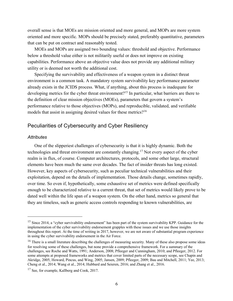overall sense is that MOEs are mission oriented and more general, and MOPs are more system oriented and more specific. MOPs should be precisely stated, preferably quantitative, parameters that can be put on contract and reasonably tested.

MOEs and MOPs are assigned two bounding values: threshold and objective. Performance below a threshold value either is not militarily useful or does not improve on existing capabilities. Performance above an objective value does not provide any additional military utility or is deemed not worth the additional cost.

Specifying the survivability and effectiveness of a weapon system in a distinct threat environment is a common task. A mandatory system survivability key performance parameter already exists in the JCIDS process. What, if anything, about this process is inadequate for developing metrics for the cyber threat environment?<sup>15</sup> In particular, what barriers are there to the definition of clear mission objectives (MOEs), parameters that govern a system's performance relative to those objectives (MOPs), and reproducible, validated, and verifiable models that assist in assigning desired values for these metrics?<sup>16</sup>

# Peculiarities of Cybersecurity and Cyber Resiliency

#### *Attributes*

One of the slipperiest challenges of cybersecurity is that it is highly dynamic. Both the technologies and threat environment are constantly changing.17 Not every aspect of the cyber realm is in flux, of course. Computer architectures, protocols, and some other large, structural elements have been much the same over decades. The fact of insider threats has long existed. However, key aspects of cybersecurity, such as peculiar technical vulnerabilities and their exploitation, depend on the details of implementation. Those details change, sometimes rapidly, over time. So even if, hypothetically, some exhaustive set of metrics were defined specifically enough to be characterized relative to a current threat, that set of metrics would likely prove to be dated well within the life span of a weapon system. On the other hand, metrics so general that they are timeless, such as generic access controls responding to known vulnerabilities, are

<sup>&</sup>lt;sup>15</sup> Since 2014, a "cyber survivability endorsement" has been part of the system survivability KPP. Guidance for the implementation of the cyber survivability endorsement grapples with these issues and we use those insights throughout this report. At the time of writing in 2017, however, we are not aware of substantial program experience in using the cyber survivability endorsement in the Air Force.

 $16$  There is a small literature describing the challenges of measuring security. Many of these also propose some ideas for resolving some of these challenges, but none provide a comprehensive framework. For a summary of the challenges, see Roche and Watts, 1991; Anderson, 2008; Pfleeger and Cunningham, 2010; and Pfleeger, 2012. For some attempts at proposed frameworks and metrics that cover limited parts of the necessary scope, see Chapin and Akridge, 2005; Howard, Pincus, and Wing, 2005; Jansen, 2009; Pfleeger, 2009; Bau and Mitchell, 2011; Yee, 2013; Cheng et al., 2014; Wang et al., 2014; Hubbard and Seieren, 2016; and Zhang et al., 2016.

<sup>&</sup>lt;sup>17</sup> See, for example, Kallberg and Cook, 2017.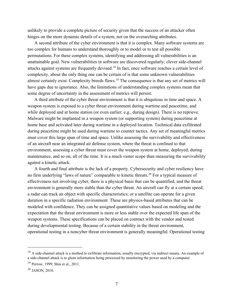unlikely to provide a complete picture of security given that the success of an attacker often hinges on the more dynamic details of a system, not on the overarching attributes.

A second attribute of the cyber environment is that it is complex. Many software systems are too complex for humans to understand thoroughly or to model or to test all possible permutations. For these complex systems, identifying and addressing all vulnerabilities is an unattainable goal. New vulnerabilities in software are discovered regularly; clever side-channel attacks against systems are frequently devised.18 In fact, once software reaches a certain level of complexity, about the only thing one can be certain of is that some unknown vulnerabilities almost certainly exist. Complexity breeds flaws.<sup>19</sup> The consequence is that any set of metrics will have gaps due to ignorance. Also, the limitations of understanding complex systems mean that some degree of uncertainty in the assessment of metrics will persist.

A third attribute of the cyber threat environment is that it is ubiquitous in time and space. A weapon system is exposed to a cyber threat environment during wartime and peacetime, and while deployed and at home station (or even earlier, e.g., during design). There is no reprieve. Malware might be implanted in a weapon system (or supporting system) during peacetime at home base and activated later during wartime in a deployed location. Technical data exfiltrated during peacetime might be used during wartime to counter tactics. Any set of meaningful metrics must cover this large span of time and space. Unlike assessing the survivability and effectiveness of an aircraft near an integrated air defense system, where the threat is confined to that environment, assessing a cyber threat must cover the weapon system at home, deployed, during maintenance, and so on, all of the time. It is a much vaster scope than measuring the survivability against a kinetic attack.

A fourth and final attribute is the lack of a property. Cybersecurity and cyber resiliency have no firm underlying "laws of nature" comparable to kinetic threats.<sup>20</sup> For a typical measure of effectiveness not involving cyber, there is a physical basis that can be quantified, and the threat environment is generally more stable than the cyber threat. An aircraft can fly at a certain speed; a radar can track an object with specific characteristics; or a satellite can operate for a given duration in a specific radiation environment. These are physics-based attributes that can be modeled with confidence. They can be assigned quantitative values based on modeling and the expectation that the threat environment is more or less stable over the expected life span of the weapon systems. These specifications can be placed on contract with the vendor and tested during developmental testing. Because of a certain stability in the threat environment, operational testing in a noncyber threat environment is generally meaningful. Operational testing

 $18$  A side-channel attack is a method to exfiltrate information, usually encrypted, via indirect means. An example of a side-channel attack is to glean information being processed by monitoring the power used by a computer.

<sup>&</sup>lt;sup>19</sup> Perrow, 1999; Shin et al., 2011.

<sup>20</sup> JASON, 2010.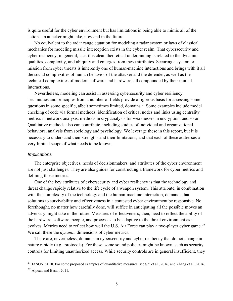is quite useful for the cyber environment but has limitations in being able to mimic all of the actions an attacker might take, now and in the future.

No equivalent to the radar range equation for modeling a radar system or laws of classical mechanics for modeling missile interception exists in the cyber realm. That cybersecurity and cyber resiliency, in general, lack this clean theoretical underpinning is related to the dynamic qualities, complexity, and ubiquity and emerges from these attributes. Securing a system or mission from cyber threats is inherently one of human-machine interactions and brings with it all the social complexities of human behavior of the attacker and the defender, as well as the technical complexities of modern software and hardware, all compounded by their mutual interactions.

Nevertheless, modeling can assist in assessing cybersecurity and cyber resiliency. Techniques and principles from a number of fields provide a rigorous basis for assessing some questions in some specific, albeit sometimes limited, domains.<sup>21</sup> Some examples include model checking of code via formal methods, identification of critical nodes and links using centrality metrics in network analysis, methods in cryptanalysis for weaknesses in encryption, and so on. Qualitative methods also can contribute, including studies of individual and organizational behavioral analysis from sociology and psychology. We leverage these in this report, but it is necessary to understand their strengths and their limitations, and that each of these addresses a very limited scope of what needs to be known.

#### *Implications*

The enterprise objectives, needs of decisionmakers, and attributes of the cyber environment are not just challenges. They are also guides for constructing a framework for cyber metrics and defining those metrics.

One of the key attributes of cybersecurity and cyber resiliency is that the technology and threat change rapidly relative to the life cycle of a weapon system. This attribute, in combination with the complexity of the technology and the human-machine interaction, demands that solutions to survivability and effectiveness in a contested cyber environment be responsive. No forethought, no matter how carefully done, will suffice in anticipating all the possible moves an adversary might take in the future. Measures of effectiveness, then, need to reflect the ability of the hardware, software, people, and processes to be adaptive to the threat environment as it evolves. Metrics need to reflect how well the U.S. Air Force can play a two-player cyber game.<sup>22</sup> We call these the *dynamic* dimensions of cyber metrics.

There are, nevertheless, domains in cybersecurity and cyber resiliency that do not change in nature rapidly (e.g., protocols). For these, some sound policies might be known, such as security controls for limiting unauthorized access. While security controls are in general insufficient, they

<sup>&</sup>lt;sup>21</sup> JASON, 2010. For some proposed examples of quantitative measures, see Shi et al., 2016, and Zhang et al., 2016.

<sup>22</sup> Alpcan and Başar, 2011.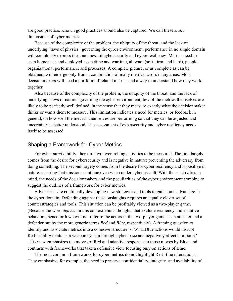are good practice. Known good practices should also be captured. We call these *static*  dimensions of cyber metrics.

Because of the complexity of the problem, the ubiquity of the threat, and the lack of underlying "laws of physics" governing the cyber environment, performance in no single domain will completely express the soundness of cybersecurity and cyber resiliency. Metrics need to span home base and deployed, peacetime and wartime, all ware (soft, firm, and hard), people, organizational performance, and processes. A complete picture, or as complete as can be obtained, will emerge only from a combination of many metrics across many areas. Most decisionmakers will need a portfolio of related metrics and a way to understand how they work together.

Also because of the complexity of the problem, the ubiquity of the threat, and the lack of underlying "laws of nature" governing the cyber environment, few of the metrics themselves are likely to be perfectly well defined, in the sense that they measure exactly what the decisionmaker thinks or wants them to measure. This limitation indicates a need for metrics, or feedback in general, on how well the metrics themselves are performing so that they can be adjusted and uncertainty is better understood. The assessment of cybersecurity and cyber resiliency needs itself to be assessed.

## Shaping a Framework for Cyber Metrics

For cyber survivability, there are two overarching activities to be measured. The first largely comes from the desire for cybersecurity and is negative in nature: preventing the adversary from doing something. The second largely comes from the desire for cyber resiliency and is positive in nature: ensuring that missions continue even when under cyber assault. With those activities in mind, the needs of the decisionmakers and the peculiarities of the cyber environment combine to suggest the outlines of a framework for cyber metrics.

Adversaries are continually developing new strategies and tools to gain some advantage in the cyber domain. Defending against these onslaughts requires an equally clever set of counterstrategies and tools. This situation can be profitably viewed as a two-player game. (Because the word *defense* in this context elicits thoughts that exclude resiliency and adaptive behaviors, henceforth we will not refer to the actors in the two-player game as an attacker and a defender but by the more generic terms *Red* and *Blue*, respectively). A framing question to identify and associate metrics into a cohesive structure is: What Blue actions would disrupt Red's ability to attack a weapon system through cyberspace and negatively affect a mission? This view emphasizes the moves of Red and adaptive responses to those moves by Blue, and contrasts with frameworks that take a defensive view focusing only on actions of Blue.

The most common frameworks for cyber metrics do not highlight Red-Blue interactions. They emphasize, for example, the need to preserve confidentiality, integrity, and availability of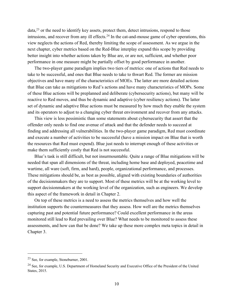$data<sup>23</sup>$  or the need to identify key assets, protect them, detect intrusions, respond to those intrusions, and recover from any ill effects.<sup>24</sup> In the cat-and-mouse game of cyber operations, this view neglects the actions of Red, thereby limiting the scope of assessment. As we argue in the next chapter, cyber metrics based on the Red-Blue interplay expand this scope by providing better insight into whether actions taken by Blue are, or are not, sufficient, and whether poor performance in one measure might be partially offset by good performance in another.

The two-player game paradigm implies two tiers of metrics: one of actions that Red needs to take to be successful, and ones that Blue needs to take to thwart Red. The former are mission objectives and have many of the characteristics of MOEs. The latter are more detailed actions that Blue can take as mitigations to Red's actions and have many characteristics of MOPs. Some of these Blue actions will be preplanned and deliberate (cybersecurity actions), but many will be reactive to Red moves, and thus be dynamic and adaptive (cyber resiliency actions). The latter set of dynamic and adaptive Blue actions must be measured by how much they enable the system and its operators to adjust to a changing cyber threat environment and recover from any attacks.

This view is less pessimistic than some statements about cybersecurity that assert that the offender only needs to find one avenue of attack and that the defender needs to succeed at finding and addressing all vulnerabilities. In the two-player game paradigm, Red must coordinate and execute a number of activities to be successful (have a mission impact on Blue that is worth the resources that Red must expend). Blue just needs to interrupt enough of these activities or make them sufficiently costly that Red is not successful.

Blue's task is still difficult, but not insurmountable. Quite a range of Blue mitigations will be needed that span all dimensions of the threat, including home base and deployed, peacetime and wartime, all ware (soft, firm, and hard), people, organizational performance, and processes. These mitigations should be, as best as possible, aligned with existing boundaries of authorities of the decisionmakers they are to support. Most of these metrics will be at the working level to support decisionmakers at the working level of the organization, such as engineers. We develop this aspect of the framework in detail in Chapter 2.

On top of these metrics is a need to assess the metrics themselves and how well the institution supports the countermeasures that they assess. How well are the metrics themselves capturing past and potential future performance? Could excellent performance in the areas monitored still lead to Red prevailing over Blue? What needs to be monitored to assess these assessments, and how can that be done? We take up these more complex meta topics in detail in Chapter 3.

<sup>23</sup> See, for example, Stoneburner, 2001.

<sup>&</sup>lt;sup>24</sup> See, for example, U.S. Department of Homeland Security and Executive Office of the President of the United States, 2015.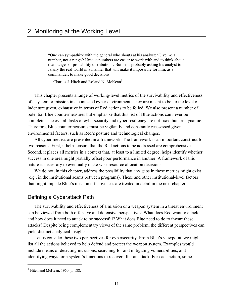"One can sympathize with the general who shouts at his analyst: 'Give me a number, not a range': Unique numbers are easier to work with and to think about than ranges or probability distributions. But he is probably asking his analyst to falsify the real world in a manner that will make it impossible for him, as a commander, to make good decisions."

- Charles J. Hitch and Roland N. McKean<sup>1</sup>

This chapter presents a range of working-level metrics of the survivability and effectiveness of a system or mission in a contested cyber environment. They are meant to be, to the level of indenture given, exhaustive in terms of Red actions to be foiled. We also present a number of potential Blue countermeasures but emphasize that this list of Blue actions can never be complete. The overall tasks of cybersecurity and cyber resiliency are not fixed but are dynamic. Therefore, Blue countermeasures must be vigilantly and constantly reassessed given environmental factors, such as Red's posture and technological changes.

All cyber metrics are presented in a framework. The framework is an important construct for two reasons. First, it helps ensure that the Red actions to be addressed are comprehensive. Second, it places all metrics in a context that, at least to a limited degree, helps identify whether success in one area might partially offset poor performance in another. A framework of this nature is necessary to eventually make wise resource allocation decisions.

We do not, in this chapter, address the possibility that any gaps in these metrics might exist (e.g., in the institutional seams between programs). These and other institutional-level factors that might impede Blue's mission effectiveness are treated in detail in the next chapter.

# Defining a Cyberattack Path

The survivability and effectiveness of a mission or a weapon system in a threat environment can be viewed from both offensive and defensive perspectives: What does Red want to attack, and how does it need to attack to be successful? What does Blue need to do to thwart these attacks? Despite being complementary views of the same problem, the different perspectives can yield distinct analytical insights.

Let us consider these two perspectives for cybersecurity. From Blue's viewpoint, we might list all the actions believed to help defend and protect the weapon system. Examples would include means of detecting intrusions, searching for and mitigating vulnerabilities, and identifying ways for a system's functions to recover after an attack. For each action, some

 $<sup>1</sup>$  Hitch and McKean, 1960, p. 188.</sup>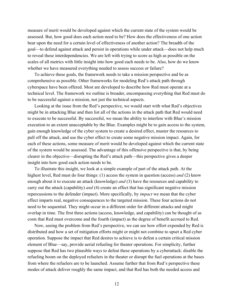measure of merit would be developed against which the current state of the system would be assessed. But, how good does each action need to be? How does the effectiveness of one action bear upon the need for a certain level of effectiveness of another action? The breadth of the goal—to defend against attack and persist in operations while under attack—does not help much to reveal these interdependencies. We are left with trying to score as high as possible on the scales of all metrics with little insight into how good each needs to be. Also, how do we know whether we have measured everything needed to assess success or failure?

To achieve these goals, the framework needs to take a mission perspective and be as comprehensive as possible. Other frameworks for modeling Red's attack path through cyberspace have been offered. Most are developed to describe how Red must operate at a technical level. The framework we outline is broader, encompassing everything that Red must do to be successful against a mission, not just the technical aspects.

Looking at the issue from the Red's perspective, we would start with what Red's objectives might be in attacking Blue and then list all of the actions in the attack path that Red would need to execute to be successful. By successful, we mean the ability to interfere with Blue's mission execution to an extent unacceptable by the Blue. Examples might be to gain access to the system, gain enough knowledge of the cyber system to create a desired effect, muster the resources to pull off the attack, and use the cyber effect to create some negative mission impact. Again, for each of these actions, some measure of merit would be developed against which the current state of the system would be assessed. The advantage of this offensive perspective is that, by being clearer in the objective—disrupting the Red's attack path—this perspective gives a deeper insight into how good each action needs to be.

To illustrate this insight, we look at a simple example of part of the attack path. At the highest level, Red must do four things: (1) access the system in question (access) *and* (2) know enough about it to execute an attack (knowledge) *and* (3) have the resources and capability to carry out the attack (capability) *and* (4) create an effect that has significant negative mission repercussions to the defender (impact). More specifically, by *impact* we mean that the cyber effect imparts real, negative consequences to the targeted mission. These four actions do not need to be sequential. They might occur in a different order for different attacks and might overlap in time. The first three actions (access, knowledge, and capability) can be thought of as costs that Red must overcome and the fourth (impact) as the degree of benefit accrued to Red.

Now, seeing the problem from Red's perspective, we can see how effort expended by Red is distributed and how a set of mitigation efforts might or might not combine to upset a Red cyber operation. Suppose the impact that Red desires to achieve is to defeat a certain critical mission element of Blue—say, provide aerial refueling for theater operations. For simplicity, further suppose that Red has two plausible ways to defeat these operations by a cyberattack: disable the refueling boom on the deployed refuelers in the theater or disrupt the fuel operations at the bases from where the refuelers are to be launched. Assume further that from Red's perspective these modes of attack deliver roughly the same impact, and that Red has both the needed access and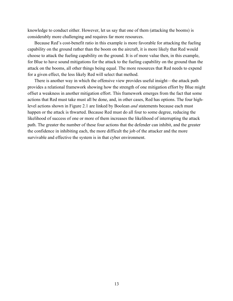knowledge to conduct either. However, let us say that one of them (attacking the booms) is considerably more challenging and requires far more resources.

Because Red's cost-benefit ratio in this example is more favorable for attacking the fueling capability on the ground rather than the boom on the aircraft, it is more likely that Red would choose to attack the fueling capability on the ground. It is of more value then, in this example, for Blue to have sound mitigations for the attack to the fueling capability on the ground than the attack on the booms, all other things being equal. The more resources that Red needs to expend for a given effect, the less likely Red will select that method.

There is another way in which the offensive view provides useful insight—the attack path provides a relational framework showing how the strength of one mitigation effort by Blue might offset a weakness in another mitigation effort. This framework emerges from the fact that some actions that Red must take must all be done, and, in other cases, Red has options. The four highlevel actions shown in Figure 2.1 are linked by Boolean *and* statements because each must happen or the attack is thwarted. Because Red must do all four to some degree, reducing the likelihood of success of one or more of them increases the likelihood of interrupting the attack path. The greater the number of these four actions that the defender can inhibit, and the greater the confidence in inhibiting each, the more difficult the job of the attacker and the more survivable and effective the system is in that cyber environment.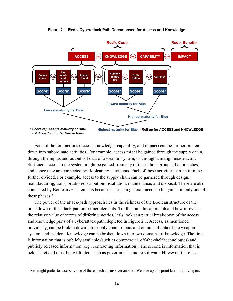

**Figure 2.1. Red's Cyberattack Path Decomposed for Access and Knowledge**

Each of the four actions (access, knowledge, capability, and impact) can be further broken down into subordinate activities. For example, access might be gained through the supply chain, through the inputs and outputs of data of a weapon system, or through a malign inside actor. Sufficient access to the system might be gained from any of these three groups of approaches, and hence they are connected by Boolean *or* statements. Each of these activities can, in turn, be further divided. For example, access to the supply chain can be garnered through design, manufacturing, transportation/distribution/installation, maintenance, and disposal. These are also connected by Boolean *or* statements because access, in general, needs to be gained in only one of these phases.<sup>2</sup>

The power of the attack-path approach lies in the richness of the Boolean structure of the breakdown of the attack path into finer elements. To illustrate this approach and how it reveals the relative value of scores of differing metrics, let's look at a partial breakdown of the access and knowledge parts of a cyberattack path, depicted in Figure 2.1. Access, as mentioned previously, can be broken down into supply chain, inputs and outputs of data of the weapon system, and insiders. Knowledge can be broken down into two domains of knowledge. The first is information that is publicly available (such as commercial, off-the-shelf technologies) and publicly released information (e.g., contracting information). The second is information that is held secret and must be exfiltrated, such as government-unique software. However, there is a

 $<sup>2</sup>$  Red might prefer to access by one of these mechanisms over another. We take up this point later in this chapter.</sup>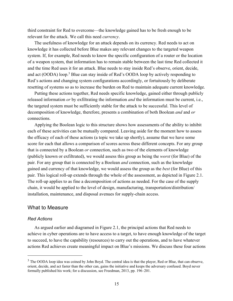third constraint for Red to overcome—the knowledge gained has to be fresh enough to be relevant for the attack. We call this need *currency*.

The usefulness of knowledge for an attack depends on its currency. Red needs to act on knowledge it has collected before Blue makes any relevant changes to the targeted weapon system. If, for example, Red needs to know the specific configuration of a router or the location of a weapon system, that information has to remain stable between the last time Red collected it and the time Red uses it for an attack. Blue needs to stay inside Red's observe, orient, decide, and act (OODA) loop.<sup>3</sup> Blue can stay inside of Red's OODA loop by actively responding to Red's actions and changing system configurations accordingly, or fortuitously by deliberate resetting of systems so as to increase the burden on Red to maintain adequate current knowledge.

Putting these actions together, Red needs specific knowledge, gained either through publicly released information *or* by exfiltrating the information *and* the information must be current, i.e., the targeted system must be sufficiently stable for the attack to be successful. This level of decomposition of knowledge, therefore, presents a combination of both Boolean *and* and *or* connections.

Applying the Boolean logic to this structure shows how assessments of the ability to inhibit each of these activities can be mutually compared. Leaving aside for the moment how to assess the efficacy of each of these actions (a topic we take up shortly), assume that we have some score for each that allows a comparison of scores across these different concepts. For any group that is connected by a Boolean *or* connection, such as two of the elements of knowledge (publicly known or exfiltrated), we would assess this group as being the *worst* (for Blue) of the pair. For any group that is connected by a Boolean *and* connection, such as the knowledge gained and currency of that knowledge, we would assess the group as the *best* (for Blue) of this pair. This logical roll-up extends through the whole of the assessment, as depicted in Figure 2.1. The roll-up applies to as fine a decomposition of actions as needed. For the case of the supply chain, it would be applied to the level of design, manufacturing, transportation/distribution/ installation, maintenance, and disposal avenues for supply-chain access.

### What to Measure

#### *Red Actions*

As argued earlier and diagramed in Figure 2.1, the principal actions that Red needs to achieve in cyber operations are to have access to a target, to have enough knowledge of the target to succeed, to have the capability (resources) to carry out the operations, and to have whatever actions Red achieves create meaningful impact on Blue's missions. We discuss these four actions

 $3$  The OODA loop idea was coined by John Boyd. The central idea is that the player, Red or Blue, that can observe, orient, decide, and act faster than the other can, gains the initiative and keeps the adversary confused. Boyd never formally published his work; for a discussion, see Freedman, 2013, pp. 196–201.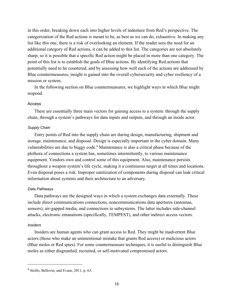in this order, breaking down each into higher levels of indenture from Red's perspective. The categorization of the Red actions is meant to be, as best as we can do, exhaustive. In making any list like this one, there is a risk of overlooking an element. If the reader sees the need for an additional category of Red actions, it can be added to this list. The categories are not absolutely sharp, so it is possible that a specific Red action might be placed in more than one category. The point of this list is to establish the goals of Blue actions. By identifying Red actions that potentially need to be countered, and by assessing how well each of the actions are addressed by Blue countermeasures, insight is gained into the overall cybersecurity and cyber resiliency of a mission or system.

In the following section on Blue countermeasures, we highlight ways in which Blue might respond.

#### Access

There are essentially three main vectors for gaining access to a system: through the supply chain, through a system's pathways for data inputs and outputs, and through an inside actor.

#### *Supply Chain*

Entry points of Red into the supply chain are during design, manufacturing, shipment and storage, maintenance, and disposal. Design is especially important in the cyber domain. Many vulnerabilities are due to buggy code.<sup>4</sup> Maintenance is also a critical phase because of the plethora of connections a system has, sometimes intermittently, to various maintenance equipment. Vendors own and control some of this equipment. Also, maintenance persists throughout a weapon system's life cycle, making it a continuous target at all times and locations. Even disposal poses a risk: Improper sanitization of components during disposal can leak critical information about systems and their architecture to an adversary.

#### *Data Pathways*

Data pathways are the designed ways in which a system exchanges data externally. These include direct communications connections, noncommunications data apertures (antennas, sensors), air-gapped media, and connections to subsystems. The latter includes side-channel attacks, electronic emanations (specifically, TEMPEST), and other indirect access vectors.

#### *Insiders*

Insiders are human agents who can grant access to Red. They might be inadvertent Blue actors (those who make an unintentional mistake that grants Red access) or malicious actors (Blue moles or Red spies). For some countermeasure techniques, it is useful to distinguish Blue moles as either disgruntled, recruited, or self-motivated compromised actors.

 $<sup>4</sup>$  Stolfo, Bellovin, and Evans, 2011, p. 63.</sup>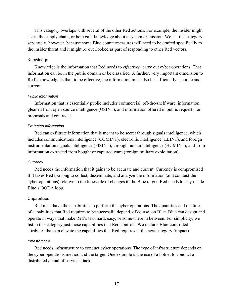This category overlaps with several of the other Red actions. For example, the insider might act in the supply chain, or help gain knowledge about a system or mission. We list this category separately, however, because some Blue countermeasures will need to be crafted specifically to the insider threat and it might be overlooked as part of responding to other Red vectors.

#### Knowledge

Knowledge is the information that Red needs to *effectively* carry out cyber operations. That information can be in the public domain or be classified. A further, very important dimension to Red's knowledge is that, to be effective, the information must also be sufficiently accurate and current.

#### *Public Information*

Information that is essentially public includes commercial, off-the-shelf ware, information gleaned from open source intelligence (OSINT), and information offered in public requests for proposals and contracts.

#### *Protected Information*

Red can exfiltrate information that is meant to be secret through signals intelligence, which includes communications intelligence (COMINT), electronic intelligence (ELINT), and foreign instrumentation signals intelligence (FISINT); through human intelligence (HUMINT); and from information extracted from bought or captured ware (foreign military exploitation).

#### *Currency*

Red needs the information that it gains to be accurate and current. Currency is compromised if it takes Red too long to collect, disseminate, and analyze the information (and conduct the cyber operations) relative to the timescale of changes to the Blue target. Red needs to stay inside Blue's OODA loop.

#### **Capabilities**

Red must have the capabilities to perform the cyber operations. The quantities and qualities of capabilities that Red requires to be successful depend, of course, on Blue. Blue can design and operate in ways that make Red's task hard, easy, or somewhere in between. For simplicity, we list in this category just those capabilities that Red controls. We include Blue-controlled attributes that can elevate the capabilities that Red requires in the next category (impact).

#### *Infrastructure*

Red needs infrastructure to conduct cyber operations. The type of infrastructure depends on the cyber operations method and the target. One example is the use of a botnet to conduct a distributed denial of service attack.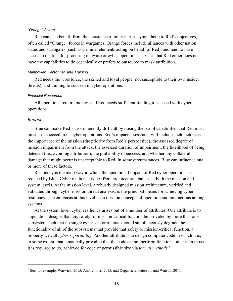#### *"Orange" Actors*

Red can also benefit from the assistance of other parties sympathetic to Red's objectives, often called "Orange" forces in wargames. Orange forces include alliances with other nation states and surrogates (such as criminal elements acting on behalf of Red), and tend to have access to markets for procuring malware or cyber-operations services that Red either does not have the capabilities to do organically or prefers to outsource to mask attribution.

#### *Manpower, Personnel, and Training*

Red needs the workforce, the skilled and loyal people (not susceptible to their own insider threats), and training to succeed in cyber operations.

#### *Financial Resources*

All operations require money, and Red needs sufficient funding to succeed with cyber operations.

#### *Impact*

Blue can make Red's task inherently difficult by raising the bar of capabilities that Red must muster to succeed in its cyber operations. Red's impact assessment will include such factors as the importance of the mission (the priority from Red's perspective), the assessed degree of mission impairment from the attack, the assessed duration of impairment, the likelihood of being detected (i.e., avoiding attribution), the probability of success, and whether any collateral damage that might occur is unacceptable to Red. In some circumstances, Blue can influence one or more of these factors.

Resiliency is the main way in which the operational impact of Red cyber operations is reduced by Blue. Cyber resilience issues from architectural choices at both the mission and system levels. At the mission level, a robustly designed mission architecture, verified and validated through cyber mission thread analysis, is the principal means for achieving cyber resiliency. The emphasis at this level is on mission concepts of operation and interactions among systems.

At the system level, cyber resiliency arises out of a number of attributes. One attribute is to stipulate in designs that any safety- or mission-critical function be provided by more than one subsystem such that no single cyber vector of attack could simultaneously degrade the functionality of all of the subsystems that provide that safety or mission-critical function, a property we call *cyber separability*. Another attribute is to design computer code in which it is, to some extent, mathematically provable that the code cannot perform functions other than those it is required to do, achieved for code of permissible size via *formal methods*. 5

<sup>5</sup> See, for example, Warwick, 2015; Anonymous, 2015; and Degabriele, Paterson, and Watson, 2011.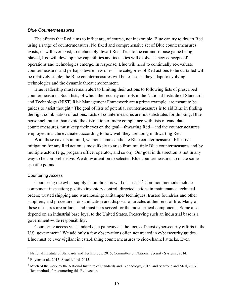#### *Blue Countermeasures*

The effects that Red aims to inflict are, of course, not inexorable. Blue can try to thwart Red using a range of countermeasures. No fixed and comprehensive set of Blue countermeasures exists, or will ever exist, to ineluctably thwart Red. True to the cat-and-mouse game being played, Red will develop new capabilities and its tactics will evolve as new concepts of operations and technologies emerge. In response, Blue will need to continually re-evaluate countermeasures and perhaps devise new ones. The categories of Red actions to be curtailed will be relatively stable; the Blue countermeasures will be less so as they adapt to evolving technologies and the dynamic threat environment.

Blue leadership must remain alert to limiting their actions to following lists of prescribed countermeasures. Such lists, of which the security controls in the National Institute of Standards and Technology (NIST) Risk Management Framework are a prime example, are meant to be guides to assist thought.<sup>6</sup> The goal of lists of potential countermeasures is to aid Blue in finding the right combination of actions. Lists of countermeasures are not substitutes for thinking. Blue personnel, rather than avoid the distraction of mere compliance with lists of candidate countermeasures, must keep their eyes on the goal—thwarting Red—and the countermeasures employed must be evaluated according to how well they are doing in thwarting Red.

With these caveats in mind, we note some candidate Blue countermeasures. Effective mitigation for any Red action is most likely to arise from multiple Blue countermeasures and by multiple actors (e.g., program office, operator, and so on). Our goal in this section is not in any way to be comprehensive. We draw attention to selected Blue countermeasures to make some specific points.

#### Countering Access

Countering the cyber supply chain threat is well discussed.7 Common methods include component inspection; positive inventory control; directed actions in maintenance technical orders; trusted shipping and warehousing; antitamper techniques; trusted foundries and other suppliers; and procedures for sanitization and disposal of articles at their end of life. Many of these measures are arduous and must be reserved for the most critical components. Some also depend on an industrial base loyal to the United States. Preserving such an industrial base is a government-wide responsibility.

Countering access via standard data pathways is the focus of most cybersecurity efforts in the U.S. government.<sup>8</sup> We add only a few observations often not treated in cybersecurity guides. Blue must be ever vigilant in establishing countermeasures to side-channel attacks. Even

<sup>6</sup> National Institute of Standards and Technology, 2015; Committee on National Security Systems, 2014.

<sup>7</sup> Boyens et al., 2015; Shackleford, 2015.

<sup>8</sup> Much of the work by the National Institute of Standards and Technology, 2015, and Scarfone and Mell, 2007, offers methods for countering this Red vector.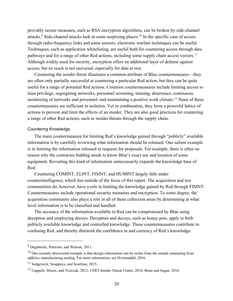provably secure measures, such as RSA encryption algorithms, can be broken by side-channel attacks.9 Side-channel attacks lurk in some surprising places.10 In the specific case of access through radio-frequency links and some sensors, electronic warfare techniques can be useful. Techniques, such as application whitelisting, are useful both for countering access through data pathways and for a range of other Red actions, including some supply chain access vectors.<sup>11</sup> Although widely used for security, encryption offers an additional layer of defense against access, but its reach is not universal, especially for data at rest.

Countering the insider threat illustrates a common attribute of Blue countermeasures—they are often only partially successful at countering a particular Red action, but they can be quite useful for a range of potential Red actions. Common countermeasures include limiting access to least privilege, segregating networks, personnel screening, training, deterrence, continuous monitoring of networks and personnel, and maintaining a positive work climate.12 None of these countermeasures are sufficient in isolation. Yet in combination, they form a powerful lattice of actions to prevent and limit the effects of an insider. They are also good practices for countering a range of other Red actions, such as insider threats through the supply chain.

#### Countering Knowledge

The main countermeasure for limiting Red's knowledge gained through "publicly" available information is by carefully reviewing what information should be released. One salient example is in limiting the information released in requests for proposals. For example, there is often no reason why the contractor bidding needs to know Blue's exact use and location of some equipment. Revealing this kind of information unnecessarily expands the knowledge base of Red.

Countering COMINT, ELINT, FISINT, and HUMINT largely falls under counterintelligence, which lies outside of the focus of this report. The acquisition and test communities do, however, have a role in limiting the knowledge gained by Red through FISINT. Countermeasures include operational security measures and encryption. To some degree, the acquisition community also plays a role in all of these collection areas by determining at what level information is to be classified and handled.

The accuracy of the information available to Red can be compromised by Blue using deception and employing decoys. Deception and decoys, such as honey pots, apply to both publicly available knowledge and controlled knowledge. These countermeasures contribute to confusing Red, and thereby diminish the confidence in and currency of Red's knowledge.

<sup>&</sup>lt;sup>9</sup> Degabriele, Paterson, and Watson, 2011.

 $10$  One recently discovered example is that design information can be stolen from the sounds emanating from additive manufacturing tooling. For more information, see Hvistendahl, 2016.

<sup>&</sup>lt;sup>11</sup> Sedgewick, Souppaya, and Scarfone, 2015.

<sup>&</sup>lt;sup>12</sup> Cappelli, Moore, and Trzeciak, 2012; CERT Insider Threat Center, 2016; Bunn and Sagan, 2016.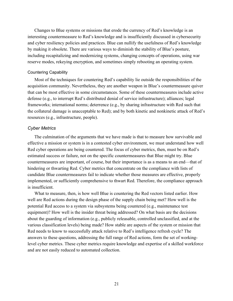Changes to Blue systems or missions that erode the currency of Red's knowledge is an interesting countermeasure to Red's knowledge and is insufficiently discussed in cybersecurity and cyber resiliency policies and practices. Blue can nullify the usefulness of Red's knowledge by making it obsolete. There are various ways to diminish the stability of Blue's posture, including recapitalizing and modernizing systems, changing concepts of operations, using war reserve modes, rekeying encryption, and sometimes simply rebooting an operating system.

#### Countering Capability

Most of the techniques for countering Red's capability lie outside the responsibilities of the acquisition community. Nevertheless, they are another weapon in Blue's countermeasure quiver that can be most effective in some circumstances. Some of these countermeasures include active defense (e.g., to interrupt Red's distributed denial of service infrastructure); alliances; legal frameworks; international norms; deterrence (e.g., by sharing infrastructure with Red such that the collateral damage is unacceptable to Red); and by both kinetic and nonkinetic attack of Red's resources (e.g., infrastructure, people).

#### *Cyber Metrics*

The culmination of the arguments that we have made is that to measure how survivable and effective a mission or system is in a contested cyber environment, we must understand how well Red cyber operations are being countered. The focus of cyber metrics, then, must be on Red's estimated success or failure, not on the specific countermeasures that Blue might try. Blue countermeasures are important, of course, but their importance is as a means to an end—that of hindering or thwarting Red. Cyber metrics that concentrate on the compliance with lists of candidate Blue countermeasures fail to indicate whether those measures are effective, properly implemented, or sufficiently comprehensive to thwart Red. Therefore, the compliance approach is insufficient.

What to measure, then, is how well Blue is countering the Red vectors listed earlier. How well are Red actions during the design phase of the supply chain being met? How well is the potential Red access to a system via subsystems being countered (e.g., maintenance test equipment)? How well is the insider threat being addressed? On what basis are the decisions about the guarding of information (e.g., publicly releasable, controlled unclassified, and at the various classification levels) being made? How stable are aspects of the system or mission that Red needs to know to successfully attack relative to Red's intelligence refresh cycle? The answers to these questions, addressing the full range of Red actions, form the set of workinglevel cyber metrics. These cyber metrics require knowledge and expertise of a skilled workforce and are not easily reduced to automated collection.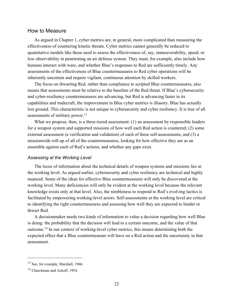# How to Measure

As argued in Chapter 1, cyber metrics are, in general, more complicated than measuring the effectiveness of countering kinetic threats. Cyber metrics cannot generally be reduced to quantitative models like those used to assess the effectiveness of, say, maneuverability, speed, or low observability in penetrating an air defense system. They must, for example, also include how humans interact with ware, and whether Blue's responses to Red are sufficiently timely. Any assessments of the effectiveness of Blue countermeasures to Red cyber operations will be inherently uncertain and require vigilant, continuous attention by skilled workers.

The focus on thwarting Red, rather than compliance to scripted Blue countermeasures, also means that assessments must be relative to the baseline of the Red threat. If Blue's cybersecurity and cyber-resiliency countermeasures are advancing, but Red is advancing faster in its capabilities and tradecraft, the improvement in Blue cyber metrics is illusory. Blue has actually lost ground. This characteristic is not unique to cybersecurity and cyber resiliency. It is true of all assessments of military power.<sup>13</sup>

What we propose, then, is a three-tiered assessment: (1) an assessment by responsible leaders for a weapon system and supported missions of how well each Red action is countered; (2) some external assessment (a verification and validation) of each of these self-assessments; and (3) a missionwide roll-up of all of the countermeasures, looking for how effective they are as an ensemble against each of Red's actions, and whether any gaps exist.

#### *Assessing at the Working Level*

The locus of information about the technical details of weapon systems and missions lies at the working level. As argued earlier, cybersecurity and cyber resiliency are technical and highly nuanced. Some of the ideas for effective Blue countermeasures will only be discovered at the working level. Many deficiencies will only be evident at the working level because the relevant knowledge exists only at that level. Also, the nimbleness to respond to Red's evolving tactics is facilitated by empowering working-level actors. Self-assessments at the working level are critical to identifying the right countermeasures and assessing how well they are expected to hinder or thwart Red.

A decisionmaker needs two kinds of information to value a decision regarding how well Blue is doing: the probability that the decision will lead to a certain outcome, and the value of that outcome.14 In our context of working-level cyber metrics, this means determining both the expected effect that a Blue countermeasure will have on a Red action and the uncertainty in that assessment.

<sup>&</sup>lt;sup>13</sup> See, for example, Marshall, 1966.

<sup>14</sup> Churchman and Ackoff, 1954.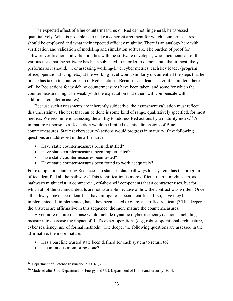The expected effect of Blue countermeasures on Red cannot, in general, be assessed quantitatively. What is possible is to make a coherent argument for which countermeasures should be employed and what their expected efficacy might be. There is an analogy here with verification and validation of modeling and simulation software. The burden of proof for software verification and validation lies with the software developer, who documents all of the various tests that the software has been subjected to in order to demonstrate that it most likely performs as it should.15 For assessing working-level cyber metrics, each key leader (program office, operational wing, etc.) at the working level would similarly document all the steps that he or she has taken to counter each of Red's actions. Because each leader's remit is limited, there will be Red actions for which no countermeasures have been taken, and some for which the countermeasures might be weak (with the expectation that others will compensate with additional countermeasures).

Because such assessments are inherently subjective, the assessment valuation must reflect this uncertainty. The best that can be done is some kind of range, qualitatively specified, for most metrics. We recommend assessing the ability to address Red actions by a maturity index.<sup>16</sup> An immature response to a Red action would be limited to static dimensions of Blue countermeasures. Static (cybersecurity) actions would progress in maturity if the following questions are addressed in the affirmative:

- Have static countermeasures been identified?
- Have static countermeasures been implemented?
- Have static countermeasures been tested?
- Have static countermeasures been found to work adequately?

For example, in countering Red access to standard data pathways to a system, has the program office identified all the pathways? This identification is more difficult than it might seem, as pathways might exist in commercial, off-the-shelf components that a contractor uses, but for which all of the technical details are not available because of how the contract was written. Once all pathways have been identified, have mitigations been identified? If so, have they been implemented? If implemented, have they been tested (e.g., by a certified red team)? The deeper the answers are affirmative in this sequence, the more mature the countermeasures.

A yet more mature response would include dynamic (cyber resiliency) actions, including measures to decrease the impact of Red's cyber operations (e.g., robust operational architecture, cyber resiliency, use of formal methods). The deeper the following questions are assessed in the affirmative, the more mature:

- Has a baseline trusted state been defined for each system to return to?
- Is continuous monitoring done?

<sup>&</sup>lt;sup>15</sup> Department of Defense Instruction 5000.61, 2009.

<sup>&</sup>lt;sup>16</sup> Modeled after U.S. Department of Energy and U.S. Department of Homeland Security, 2014.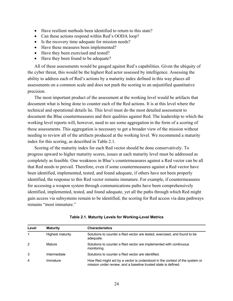- Have resilient methods been identified to return to this state?
- Can these actions respond within Red's OODA loop?
- Is the recovery time adequate for mission needs?
- Have these measures been implemented?
- Have they been exercised and tested?
- Have they been found to be adequate?

All of these assessments would be gauged against Red's capabilities. Given the ubiquity of the cyber threat, this would be the highest Red actor assessed by intelligence. Assessing the ability to address each of Red's actions by a maturity index defined in this way places all assessments on a common scale and does not push the scoring to an unjustified quantitative precision.

The most important product of the assessment at the working level would be artifacts that document what is being done to counter each of the Red actions. It is at this level where the technical and operational details lie. This level must do the most detailed assessment to document the Blue countermeasures and their qualities against Red. The leadership to which the working level reports will, however, need to see some aggregation in the form of a scoring of these assessments. This aggregation is necessary to get a broader view of the mission without needing to review all of the artifacts produced at the working level. We recommend a maturity index for this scoring, as described in Table 2.1.

Scoring of the maturity index for each Red vector should be done conservatively. To progress upward to higher maturity scores, issues at each maturity level must be addressed as completely as feasible. One weakness in Blue's countermeasures against a Red vector can be all that Red needs to prevail. Therefore, even if some countermeasures against a Red vector have been identified, implemented, tested, and found adequate, if others have not been properly identified, the response to this Red vector remains immature. For example, if countermeasures for accessing a weapon system through communications paths have been comprehensively identified, implemented, tested, and found adequate, yet all the paths through which Red might gain access via subsystems remain to be identified, the scoring for Red access via data pathways remains "most immature."

| Level         | <b>Maturity</b>  | <b>Characteristics</b>                                                                                                                        |
|---------------|------------------|-----------------------------------------------------------------------------------------------------------------------------------------------|
|               | Highest maturity | Solutions to counter a Red vector are tested, exercised, and found to be<br>adequate.                                                         |
| $\mathcal{P}$ | Mature           | Solutions to counter a Red vector are implemented with continuous<br>monitoring.                                                              |
| 3             | Intermediate     | Solutions to counter a Red vector are identified.                                                                                             |
| 4             | Immature         | How Red might act by a vector is understood in the context of the system or<br>mission under review, and a baseline trusted state is defined. |

|  | Table 2.1. Maturity Levels for Working-Level Metrics |  |
|--|------------------------------------------------------|--|
|--|------------------------------------------------------|--|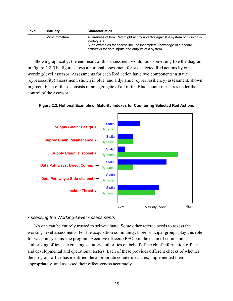| Level | <b>Maturity</b> | <b>Characteristics</b>                                                                                                                                                                                             |
|-------|-----------------|--------------------------------------------------------------------------------------------------------------------------------------------------------------------------------------------------------------------|
| 5     | Most immature   | Awareness of how Red might act by a vector against a system or mission is<br>inadequate.<br>Such examples for access include incomplete knowledge of standard<br>pathways for data inputs and outputs of a system. |

Shown graphically, the end result of this assessment would look something like the diagram in Figure 2.2. The figure shows a notional assessment for six selected Red actions by one working-level assessor. Assessments for each Red action have two components: a static (cybersecurity) assessment, shown in blue, and a dynamic (cyber resiliency) assessment, shown in green. Each of these consists of an aggregate of all of the Blue countermeasures under the control of the assessor.

**Figure 2.2. Notional Example of Maturity Indexes for Countering Selected Red Actions**



### *Assessing the Working-Level Assessments*

No one can be entirely trusted to self-evaluate. Some other referee needs to assess the working-level assessments. For the acquisition community, three principal groups play this role for weapon systems: the program executive officers (PEOs) in the chain of command, authorizing officials exercising statutory authorities on behalf of the chief information officer, and developmental and operational testers. Each of these provides different checks of whether the program office has identified the appropriate countermeasures, implemented them appropriately, and assessed their effectiveness accurately.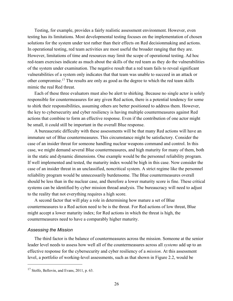Testing, for example, provides a fairly realistic assessment environment. However, even testing has its limitations. Most developmental testing focuses on the implementation of chosen solutions for the system under test rather than their effects on Red decisionmaking and actions. In operational testing, red team activities are most useful the broader ranging that they are. However, limitations of time and resources may limit the scope of operational testing. Ad hoc red-team exercises indicate as much about the skills of the red team as they do the vulnerabilities of the system under examination. The negative result that a red team fails to reveal significant vulnerabilities of a system only indicates that that team was unable to succeed in an attack or other compromise.17 The results are only as good as the degree to which the red team skills mimic the real Red threat.

Each of these three evaluators must also be alert to shirking. Because no single actor is solely responsible for countermeasures for any given Red action, there is a potential tendency for some to shirk their responsibilities, assuming others are better positioned to address them. However, the key to cybersecurity and cyber resiliency is having multiple countermeasures against Red actions that combine to form an effective response. Even if the contribution of one actor might be small, it could still be important in the overall Blue response.

A bureaucratic difficulty with these assessments will be that many Red actions will have an immature set of Blue countermeasures. This circumstance might be satisfactory. Consider the case of an insider threat for someone handling nuclear weapons command and control. In this case, we might demand several Blue countermeasures, and high maturity for many of them, both in the static and dynamic dimensions. One example would be the personnel reliability program. If well implemented and tested, the maturity index would be high in this case. Now consider the case of an insider threat in an unclassified, noncritical system. A strict regime like the personnel reliability program would be unnecessarily burdensome. The Blue countermeasures overall should be less than in the nuclear case, and therefore a lower maturity score is fine. These critical systems can be identified by cyber mission thread analysis. The bureaucracy will need to adjust to the reality that not everything requires a high score.

A second factor that will play a role in determining how mature a set of Blue countermeasures to a Red action need to be is the threat. For Red actions of low threat, Blue might accept a lower maturity index; for Red actions in which the threat is high, the countermeasures need to have a comparably higher maturity.

#### *Assessing the Mission*

The third factor is the balance of countermeasures across the mission. Someone at the senior leader level needs to assess how well all of the countermeasures across all *systems* add up to an effective response for the cybersecurity and cyber resiliency of a *mission*. At this assessment level, a portfolio of working-level assessments, such as that shown in Figure 2.2, would be

 $17$  Stolfo, Bellovin, and Evans, 2011, p. 63.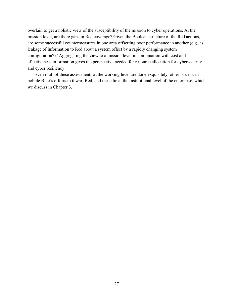overlain to get a holistic view of the susceptibility of the mission to cyber operations. At the mission level, are there gaps in Red coverage? Given the Boolean structure of the Red actions, are some successful countermeasures in one area offsetting poor performance in another (e.g., is leakage of information to Red about a system offset by a rapidly changing system configuration?)? Aggregating the view to a mission level in combination with cost and effectiveness information gives the perspective needed for resource allocation for cybersecurity and cyber resiliency.

Even if all of these assessments at the working level are done exquisitely, other issues can hobble Blue's efforts to thwart Red, and these lie at the institutional level of the enterprise, which we discuss in Chapter 3.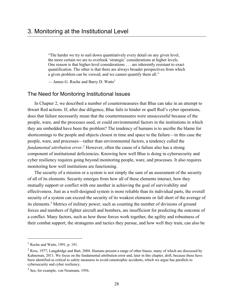"The harder we try to nail down quantitatively every detail on any given level, the more certain we are to overlook 'strategic' considerations at higher levels. One reason is that higher-level considerations . . . are inherently resistant to exact quantification. The other is that there are always broader perspectives from which a given problem can be viewed, and we cannot quantify them all."

— James G. Roche and Barry D. Watts<sup>1</sup>

# The Need for Monitoring Institutional Issues

In Chapter 2, we described a number of countermeasures that Blue can take in an attempt to thwart Red actions. If, after due diligence, Blue fails to hinder or quell Red's cyber operations, does that failure necessarily mean that the countermeasures were unsuccessful because of the people, ware, and the processes used, or could environmental factors in the institutions in which they are embedded have been the problem? The tendency of humans is to ascribe the blame for shortcomings to the people and objects closest in time and space to the failure—in this case the people, ware, and processes—rather than environmental factors, a tendency called the fundamental attribution error.<sup>2</sup> However, often the cause of a failure also has a strong component of institutional deficiencies. Knowing how well Blue is doing in cybersecurity and cyber resiliency requires going beyond monitoring people, ware, and processes. It also requires monitoring how well institutions are functioning.

The security of a mission or a system is not simply the sum of an assessment of the security of all of its elements. Security emerges from how all of these elements interact, how they mutually support or conflict with one another in achieving the goal of survivability and effectiveness. Just as a well-designed system is more reliable than its individual parts, the overall security of a system can exceed the security of its weakest elements or fall short of the average of its elements.<sup>3</sup> Metrics of military power, such as counting the number of divisions of ground forces and numbers of fighter aircraft and bombers, are insufficient for predicting the outcome of a conflict. Many factors, such as how those forces work together, the agility and robustness of their combat support, the stratagems and tactics they pursue, and how well they train, can also be

 $<sup>1</sup>$  Roche and Watts, 1991, p. 191.</sup>

<sup>&</sup>lt;sup>2</sup> Ross, 1977; Langdridge and Butt, 2004. Humans present a range of other biases, many of which are discussed by Kahneman, 2011. We focus on the fundamental attribution error and, later in this chapter, drift, because these have been identified as critical to safety measures to avoid catastrophic accidents, which we argue has parallels to cybersecurity and cyber resiliency.

 $3$  See, for example, von Neumann, 1956.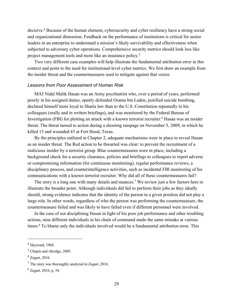decisive.4 Because of the human element, cybersecurity and cyber resiliency have a strong social and organizational dimension. Feedback on the performance of institutions is critical for senior leaders in an enterprise to understand a mission's likely survivability and effectiveness when subjected to adversary cyber operations. Comprehensive security metrics should look less like project management tools and more like an insurance policy.<sup>5</sup>

Two very different case examples will help illustrate the fundamental attribution error in this context and point to the need for institutional-level cyber metrics. We first draw an example from the insider threat and the countermeasures used to mitigate against that vector.

#### *Lessons from Poor Assessment of Human Risk*

MAJ Nidal Malik Hasan was an Army psychiatrist who, over a period of years, performed poorly in his assigned duties, openly defended Osama bin Laden, justified suicide bombing, declared himself more loyal to Sharia law than to the U.S. Constitution repeatedly to his colleagues (orally and in written briefings), and was monitored by the Federal Bureau of Investigation (FBI) for plotting an attack with a known terrorist recruiter.<sup>6</sup> Hasan was an insider threat. The threat turned to action during a shooting rampage on November 5, 2009, in which he killed 13 and wounded 43 at Fort Hood, Texas.

By the principles outlined in Chapter 2, adequate mechanisms were in place to reveal Hasan as an insider threat. The Red action to be thwarted was clear: to prevent the recruitment of a malicious insider by a terrorist group. Blue countermeasures were in place, including a background check for a security clearance, policies and briefings to colleagues to report adverse or compromising information (for continuous monitoring), regular performance reviews, a disciplinary process, and counterintelligence activities, such as incidental FBI monitoring of his communications with a known terrorist recruiter. Why did all of these countermeasures fail?

The story is a long one with many details and nuances.<sup>7</sup> We review just a few factors here to illustrate the broader point. Although individuals did fail to perform their jobs as they ideally should, strong evidence indicates that the identity of the person in a given position did not play a large role. In other words, regardless of who the person was performing the countermeasure, the countermeasure failed and was likely to have failed even if different personnel were involved.

In the case of not disciplining Hasan in light of his poor job performance and other troubling actions, nine different individuals in his chain of command made the same mistake at various times. 8 To blame only the individuals involved would be a fundamental attribution error. This

<sup>4</sup> Hayward, 1968.

<sup>5</sup> Chapin and Akridge, 2005.

 $6$  Zegart, 2016.

 $7$  The story was thoroughly analyzed in Zegart, 2016.

<sup>8</sup> Zegart, 2016, p. 54.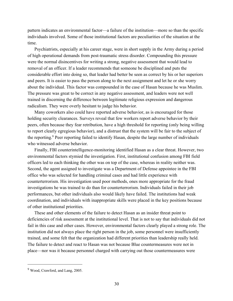pattern indicates an environmental factor—a failure of the institution—more so than the specific individuals involved. Some of those institutional factors are peculiarities of the situation at the time.

Psychiatrists, especially at his career stage, were in short supply in the Army during a period of high operational demands from post-traumatic stress disorder. Compounding this pressure were the normal disincentives for writing a strong, negative assessment that would lead to removal of an officer. If a leader recommends that someone be disciplined and puts the considerable effort into doing so, that leader had better be seen as correct by his or her superiors and peers. It is easier to pass the person along to the next assignment and let he or she worry about the individual. This factor was compounded in the case of Hasan because he was Muslim. The pressure was great to be correct in any negative assessment, and leaders were not well trained in discerning the difference between legitimate religious expression and dangerous radicalism. They were overly hesitant to judge his behavior.

Many coworkers also could have reported adverse behavior, as is encouraged for those holding security clearances. Surveys reveal that few workers report adverse behavior by their peers, often because they fear retribution, have a high threshold for reporting (only being willing to report clearly egregious behavior), and a distrust that the system will be fair to the subject of the reporting.9 Peer reporting failed to identify Hasan, despite the large number of individuals who witnessed adverse behavior.

Finally, FBI counterintelligence-monitoring identified Hasan as a clear threat. However, two environmental factors stymied the investigation. First, institutional confusion among FBI field officers led to each thinking the other was on top of the case, whereas in reality neither was. Second, the agent assigned to investigate was a Department of Defense appointee in the FBI office who was selected for handling criminal cases and had little experience with counterterrorism. His investigation used poor methods, ones more appropriate for the fraud investigations he was trained to do than for counterterrorism. Individuals failed in their job performances, but other individuals also would likely have failed. The institutions had weak coordination, and individuals with inappropriate skills were placed in the key positions because of other institutional priorities.

These and other elements of the failure to detect Hasan as an insider threat point to deficiencies of risk assessment at the institutional level. That is not to say that individuals did not fail in this case and other cases. However, environmental factors clearly played a strong role. The institution did not always place the right person in the job, some personnel were insufficiently trained, and some felt that the organization had different priorities than leadership really held. The failure to detect and react to Hasan was not because Blue countermeasures were not in place—nor was it because personnel charged with carrying out those countermeasures were

<sup>&</sup>lt;sup>9</sup> Wood, Crawford, and Lang, 2005.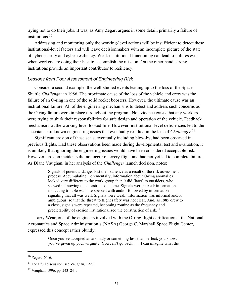trying not to do their jobs. It was, as Amy Zegart argues in some detail, primarily a failure of institutions.10

Addressing and monitoring only the working-level actions will be insufficient to detect these institutional-level factors and will leave decisionmakers with an incomplete picture of the state of cybersecurity and cyber resiliency. Weak institutional functioning can lead to failures even when workers are doing their best to accomplish the mission. On the other hand, strong institutions provide an important contributor to resiliency.

#### *Lessons from Poor Assessment of Engineering Risk*

Consider a second example, the well-studied events leading up to the loss of the Space Shuttle *Challenger* in 1986. The proximate cause of the loss of the vehicle and crew was the failure of an O-ring in one of the solid rocket boosters. However, the ultimate cause was an institutional failure. All of the engineering mechanisms to detect and address such concerns as the O-ring failure were in place throughout the program. No evidence exists that any workers were trying to shirk their responsibilities for safe design and operation of the vehicle. Feedback mechanisms at the working level looked fine. However, institutional-level deficiencies led to the acceptance of known engineering issues that eventually resulted in the loss of *Challenger*. 11

Significant erosion of these seals, eventually including blow-by, had been observed in previous flights. Had these observations been made during developmental test and evaluation, it is unlikely that ignoring the engineering issues would have been considered acceptable risk. However, erosion incidents did not occur on every flight and had not yet led to complete failure. As Diane Vaughan, in her analysis of the *Challenger* launch decision, notes:

> Signals of potential danger lost their salience as a result of the risk assessment process. Accumulating incrementally, information about O-ring anomalies looked very different to the work group than it did [later] to outsiders, who viewed it knowing the disastrous outcome. Signals were mixed: information indicating trouble was interspersed with and/or followed by information signaling that all was well. Signals were weak: information was informal and/or ambiguous, so that the threat to flight safety was not clear. And, as 1985 drew to a close, signals were repeated, becoming routine as the frequency and predictability of erosion institutionalized the construction of risk.<sup>12</sup>

Larry Wear, one of the engineers involved with the O-ring flight certification at the National Aeronautics and Space Administration's (NASA) George C. Marshall Space Flight Center, expressed this concept rather bluntly:

> Once you've accepted an anomaly or something less than perfect, you know, you've given up your virginity. You can't go back. . . . I can imagine what the

<sup>10</sup> Zegart, 2016.

 $11$  For a full discussion, see Vaughan, 1996.

<sup>12</sup> Vaughan, 1996, pp. 243–244.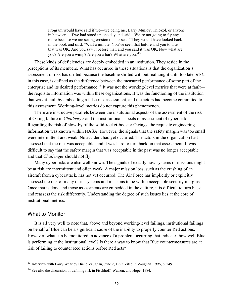Program would have said if we—we being me, Larry Mulloy, Thiokol, or anyone in between—if we had stood up one day and said, "We're not going to fly any more because we are seeing erosion on our seal." They would have looked back in the book and said, "Wait a minute. You've seen that before and you told us that was OK. And you saw it before that, and you said it was OK. Now what are you? Are you a wimp? Are you a liar? What are you?<sup>13</sup>

These kinds of deficiencies are deeply embedded in an institution. They reside in the perceptions of its members. What has occurred in these situations is that the organization's assessment of risk has drifted because the baseline shifted without realizing it until too late. *Risk*, in this case, is defined as the difference between the measured performance of some part of the enterprise and its desired performance.<sup>14</sup> It was not the working-level metrics that were at fault the requisite information was within these organizations. It was the functioning of the institution that was at fault by embedding a false risk assessment, and the actors had become committed to this assessment. Working-level metrics do not capture this phenomenon.

There are instructive parallels between the institutional aspects of the assessment of the risk of O-ring failure in *Challenger* and the institutional aspects of assessment of cyber risk. Regarding the risk of blow-by of the solid-rocket-booster O-rings, the requisite engineering information was known within NASA. However, the signals that the safety margin was too small were intermittent and weak. No accident had yet occurred. The actors in the organization had assessed that the risk was acceptable, and it was hard to turn back on that assessment. It was difficult to say that the safety margin that was acceptable in the past was no longer acceptable and that *Challenger* should not fly.

Many cyber risks are also well known. The signals of exactly how systems or missions might be at risk are intermittent and often weak. A major mission loss, such as the crashing of an aircraft from a cyberattack, has not yet occurred. The Air Force has implicitly or explicitly assessed the risk of many of its systems and missions to be within acceptable security margins. Once that is done and those assessments are embedded in the culture, it is difficult to turn back and reassess the risk differently. Understanding the degree of such issues lies at the core of institutional metrics.

#### What to Monitor

It is all very well to note that, above and beyond working-level failings, institutional failings on behalf of Blue can be a significant cause of the inability to properly counter Red actions. However, what can be monitored in advance of a problem occurring that indicates how well Blue is performing at the institutional level? Is there a way to know that Blue countermeasures are at risk of failing to counter Red actions before Red acts?

<sup>13</sup> Interview with Larry Wear by Diane Vaughan, June 2, 1992, cited in Vaughan, 1996, p. 249.

<sup>&</sup>lt;sup>14</sup> See also the discussion of defining risk in Fischhoff, Watson, and Hope, 1984.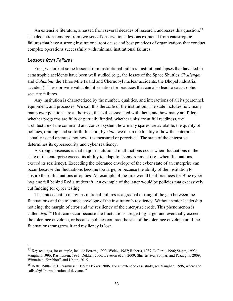An extensive literature, amassed from several decades of research, addresses this question.<sup>15</sup> The deductions emerge from two sets of observations: lessons extracted from catastrophic failures that have a strong institutional root cause and best practices of organizations that conduct complex operations successfully with minimal institutional failures.

#### *Lessons from Failures*

First, we look at some lessons from institutional failures. Institutional lapses that have led to catastrophic accidents have been well studied (e.g., the losses of the Space Shuttles *Challenger* and *Columbia*, the Three Mile Island and Chernobyl nuclear accidents, the Bhopal industrial accident). These provide valuable information for practices that can also lead to catastrophic security failures.

Any institution is characterized by the number, qualities, and interactions of all its personnel, equipment, and processes. We call this the *state* of the institution. The state includes how many manpower positions are authorized, the skills associated with them, and how many are filled, whether programs are fully or partially funded, whether units are at full readiness, the architecture of the command and control system, how many spares are available, the quality of policies, training, and so forth. In short, by *state*, we mean the totality of how the enterprise actually is and operates, not how it is measured or perceived. The state of the enterprise determines its cybersecurity and cyber resiliency.

A strong consensus is that major institutional malfunctions occur when fluctuations in the state of the enterprise exceed its ability to adapt to its environment (i.e., when fluctuations exceed its resiliency). Exceeding the tolerance envelope of the cyber state of an enterprise can occur because the fluctuations become too large, or because the ability of the institution to absorb these fluctuations atrophies. An example of the first would be if practices for Blue cyber hygiene fall behind Red's tradecraft. An example of the latter would be policies that excessively cut funding for cyber testing.

The antecedent to many institutional failures is a gradual closing of the gap between the fluctuations and the tolerance envelope of the institution's resiliency. Without senior leadership noticing, the margin of error and the resiliency of the enterprise erode. This phenomenon is called *drift*. 16 Drift can occur because the fluctuations are getting larger and eventually exceed the tolerance envelope, or because policies contract the size of the tolerance envelope until the fluctuations transgress it and resiliency is lost.

<sup>15</sup> Key readings, for example, include Perrow, 1999; Weick, 1987; Roberts, 1989; LaPorte, 1996; Sagan, 1993; Vaughan, 1996; Rasmussen, 1997; Dekker, 2006; Leveson et al., 2009; Shrivastava, Sonpar, and Pazzaglia, 2009; Winnefeld, Kirchhoff, and Upton, 2015.

<sup>&</sup>lt;sup>16</sup> Betts, 1980–1981; Rasmussen, 1997; Dekker, 2006. For an extended case study, see Vaughan, 1996, where she calls *drift* "normalization of deviance."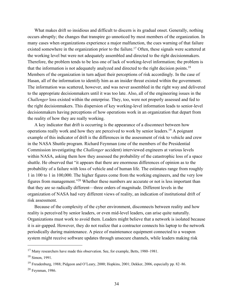What makes drift so insidious and difficult to discern is its gradual onset. Generally, nothing occurs abruptly; the changes that transpire go unnoticed by most members of the organization. In many cases when organizations experience a major malfunction, the cues warning of that failure existed somewhere in the organization prior to the failure.<sup>17</sup> Often, these signals were scattered at the working level but were not adequately assembled and directed to the right decisionmakers. Therefore, the problem tends to be less one of lack of working-level information; the problem is that the information is not adequately analyzed and directed to the right decision points.<sup>18</sup> Members of the organization in turn adjust their perceptions of risk accordingly. In the case of Hasan, all of the information to identify him as an insider threat existed within the government. The information was scattered, however, and was never assembled in the right way and delivered to the appropriate decisionmakers until it was too late. Also, all of the engineering issues in the *Challenger* loss existed within the enterprise. They, too, were not properly assessed and fed to the right decisionmakers. This dispersion of key working-level information leads to senior-level decisionmakers having perceptions of how operations work in an organization that depart from the reality of how they are really working.

A key indicator that drift is occurring is the appearance of a disconnect between how operations really work and how they are perceived to work by senior leaders.19 A poignant example of this indicator of drift is the differences in the assessment of risk to vehicle and crew in the NASA Shuttle program. Richard Feynman (one of the members of the Presidential Commission investigating the *Challenger* accident) interviewed engineers at various levels within NASA, asking them how they assessed the probability of the catastrophic loss of a space shuttle. He observed that "it appears that there are enormous differences of opinion as to the probability of a failure with loss of vehicle and of human life. The estimates range from roughly 1 in 100 to 1 in 100,000. The higher figures come from the working engineers, and the very low figures from management."20 Whether these numbers are accurate or not is less important than that they are so radically different—three orders of magnitude. Different levels in the organization of NASA had very different views of reality, an indication of institutional drift of risk assessment.

Because of the complexity of the cyber environment, disconnects between reality and how reality is perceived by senior leaders, or even mid-level leaders, can arise quite naturally. Organizations must work to avoid them. Leaders might believe that a network is isolated because it is air-gapped. However, they do not realize that a contractor connects his laptop to the network periodically during maintenance. A piece of maintenance equipment connected to a weapon system might receive software updates through unsecure channels, while leaders making risk

<sup>&</sup>lt;sup>17</sup> Many researchers have made this observation. See, for example, Betts, 1980–1981.

<sup>18</sup> Simon, 1991.

<sup>19</sup> Freudenburg, 1988; Pidgeon and O'Leary, 2000; Hopkins, 2001; Dekker, 2006, especially pp. 82–86.

<sup>20</sup> Feynman, 1986.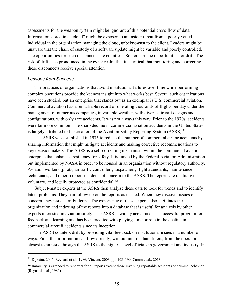assessments for the weapon system might be ignorant of this potential cross-flow of data. Information stored in a "cloud" might be exposed to an insider threat from a poorly vetted individual in the organization managing the cloud, unbeknownst to the client. Leaders might be unaware that the chain of custody of a software update might be variable and poorly controlled. The opportunities for such disconnects are countless. So, too, are the opportunities for drift. The risk of drift is so pronounced in the cyber realm that it is critical that monitoring and correcting these disconnects receive special attention.

#### *Lessons from Success*

The practices of organizations that avoid institutional failures over time while performing complex operations provide the keenest insight into what works best. Several such organizations have been studied, but an enterprise that stands out as an exemplar is U.S. commercial aviation. Commercial aviation has a remarkable record of operating thousands of flights per day under the management of numerous companies, in variable weather, with diverse aircraft designs and configurations, with only rare accidents. It was not always this way. Prior to the 1970s, accidents were far more common. The sharp decline in commercial aviation accidents in the United States is largely attributed to the creation of the Aviation Safety Reporting System  $(ASRS)^{21}$ 

The ASRS was established in 1975 to reduce the number of commercial airline accidents by sharing information that might mitigate accidents and making corrective recommendations to key decisionmakers. The ASRS is a self-correcting mechanism within the commercial aviation enterprise that enhances resiliency for safety. It is funded by the Federal Aviation Administration but implemented by NASA in order to be housed in an organization without regulatory authority. Aviation workers (pilots, air traffic controllers, dispatchers, flight attendants, maintenance technicians, and others) report incidents of concern to the ASRS. The reports are qualitative, voluntary, and legally protected as confidential.22

Subject-matter experts at the ASRS then analyze these data to look for trends and to identify latent problems. They can follow up on the reports as needed. When they discover issues of concern, they issue alert bulletins. The experience of these experts also facilitates the organization and indexing of the reports into a database that is useful for analysis by other experts interested in aviation safety. The ASRS is widely acclaimed as a successful program for feedback and learning and has been credited with playing a major role in the decline in commercial aircraft accidents since its inception.

The ASRS counters drift by providing vital feedback on institutional issues in a number of ways. First, the information can flow directly, without intermediate filters, from the operators closest to an issue through the ASRS to the highest-level officials in government and industry. In

<sup>21</sup> Dijkstra, 2006; Reynard et al., 1986; Vincent, 2003, pp. 198–199; Camm et al., 2013.

 $^{22}$  Immunity is extended to reporters for all reports except those involving reportable accidents or criminal behavior (Reynard et al., 1986).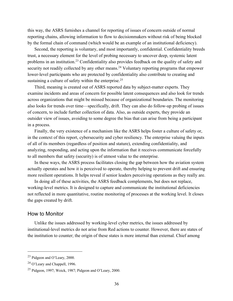this way, the ASRS furnishes a channel for reporting of issues of concern outside of normal reporting chains, allowing information to flow to decisionmakers without risk of being blocked by the formal chain of command (which would be an example of an institutional deficiency).

Second, the reporting is voluntary, and most importantly, confidential. Confidentiality breeds trust, a necessary element for the level of probing necessary to uncover deep, systemic latent problems in an institution.23 Confidentiality also provides feedback on the quality of safety and security not readily collected by any other means.<sup>24</sup> Voluntary reporting programs that empower lower-level participants who are protected by confidentiality also contribute to creating and sustaining a culture of safety within the enterprise.<sup>25</sup>

Third, meaning is created out of ASRS reported data by subject-matter experts. They examine incidents and areas of concern for possible latent consequences and also look for trends across organizations that might be missed because of organizational boundaries. The monitoring also looks for trends over time—specifically, drift. They can also do follow-up probing of issues of concern, to include further collection of data. Also, as outside experts, they provide an outsider view of issues, avoiding to some degree the bias that can arise from being a participant in a process.

Finally, the very existence of a mechanism like the ASRS helps foster a culture of safety or, in the context of this report, cybersecurity and cyber resiliency. The enterprise valuing the inputs of all of its members (regardless of position and stature), extending confidentiality, and analyzing, responding, and acting upon the information that it receives communicate forcefully to all members that safety (security) is of utmost value to the enterprise.

In these ways, the ASRS process facilitates closing the gap between how the aviation system actually operates and how it is perceived to operate, thereby helping to prevent drift and ensuring more resilient operations. It helps reveal if senior leaders perceiving operations as they really are.

In doing all of these activities, the ASRS feedback complements, but does not replace, working-level metrics. It is designed to capture and communicate the institutional deficiencies not reflected in more quantitative, routine monitoring of processes at the working level. It closes the gaps created by drift.

#### How to Monitor

Unlike the issues addressed by working-level cyber metrics, the issues addressed by institutional-level metrics do not arise from Red actions to counter. However, there are states of the institution to counter; the origin of these states is more internal than external. Chief among

<sup>23</sup> Pidgeon and O'Leary, 2000.

 $24$  O'Leary and Chappell, 1996.

<sup>25</sup> Pidgeon, 1997; Weick, 1987; Pidgeon and O'Leary, 2000.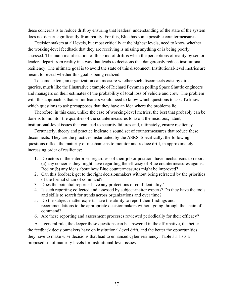these concerns is to reduce drift by ensuring that leaders' understanding of the state of the system does not depart significantly from reality. For this, Blue has some possible countermeasures.

Decisionmakers at all levels, but most critically at the highest levels, need to know whether the working-level feedback that they are receiving is missing anything or is being poorly assessed. The main manifestation of this kind of drift is when the perceptions of reality by senior leaders depart from reality in a way that leads to decisions that dangerously reduce institutional resiliency. The ultimate goal is to avoid the state of this disconnect. Institutional-level metrics are meant to reveal whether this goal is being realized.

To some extent, an organization can measure whether such disconnects exist by direct queries, much like the illustrative example of Richard Feynman polling Space Shuttle engineers and managers on their estimates of the probability of total loss of vehicle and crew. The problem with this approach is that senior leaders would need to know which questions to ask. To know which questions to ask presupposes that they have an idea where the problems lie.

Therefore, in this case, unlike the case of working-level metrics, the best that probably can be done is to monitor the qualities of the countermeasures to avoid the insidious, latent, institutional-level issues that can lead to security failures and, ultimately, ensure resiliency.

Fortunately, theory and practice indicate a sound set of countermeasures that reduce these disconnects. They are the practices instantiated by the ASRS. Specifically, the following questions reflect the maturity of mechanisms to monitor and reduce drift, in approximately increasing order of resiliency:

- 1. Do actors in the enterprise, regardless of their job or position, have mechanisms to report (a) any concerns they might have regarding the efficacy of Blue countermeasures against Red or (b) any ideas about how Blue countermeasures might be improved?
- 2. Can this feedback get to the right decisionmakers without being refracted by the priorities of the formal chain of command?
- 3. Does the potential reporter have any protections of confidentiality?
- 4. Is such reporting collected and assessed by subject-matter experts? Do they have the tools and skills to search for trends across organizations and over time?
- 5. Do the subject-matter experts have the ability to report their findings and recommendations to the appropriate decisionmakers without going through the chain of command?
- 6. Are these reporting and assessment processes reviewed periodically for their efficacy?

As a general rule, the deeper these questions can be answered in the affirmative, the better the feedback decisionmakers have on institutional-level drift, and the better the opportunities they have to make wise decisions that lead to enhanced cyber resiliency. Table 3.1 lists a proposed set of maturity levels for institutional-level issues.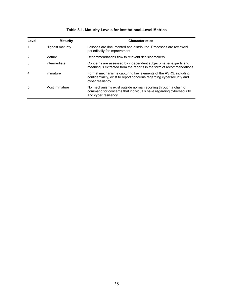| Level          | <b>Maturity</b>  | <b>Characteristics</b>                                                                                                                                        |
|----------------|------------------|---------------------------------------------------------------------------------------------------------------------------------------------------------------|
|                | Highest maturity | Lessons are documented and distributed. Processes are reviewed<br>periodically for improvement                                                                |
| $\mathcal{P}$  | Mature           | Recommendations flow to relevant decisionmakers                                                                                                               |
| 3              | Intermediate     | Concerns are assessed by independent subject-matter experts and<br>meaning is extracted from the reports in the form of recommendations                       |
| $\overline{4}$ | Immature         | Formal mechanisms capturing key elements of the ASRS, including<br>confidentiality, exist to report concerns regarding cybersecurity and<br>cyber resiliency  |
| 5              | Most immature    | No mechanisms exist outside normal reporting through a chain of<br>command for concerns that individuals have regarding cybersecurity<br>and cyber resiliency |

# **Table 3.1. Maturity Levels for Institutional-Level Metrics**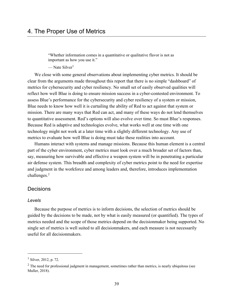"Whether information comes in a quantitative or qualitative flavor is not as important as how you use it."

 $-$  Nate Silver<sup>1</sup>

We close with some general observations about implementing cyber metrics. It should be clear from the arguments made throughout this report that there is no simple "dashboard" of metrics for cybersecurity and cyber resiliency. No small set of easily observed qualities will reflect how well Blue is doing to ensure mission success in a cyber-contested environment. To assess Blue's performance for the cybersecurity and cyber resiliency of a system or mission, Blue needs to know how well it is curtailing the ability of Red to act against that system or mission. There are many ways that Red can act, and many of these ways do not lend themselves to quantitative assessment. Red's options will also evolve over time. So must Blue's responses. Because Red is adaptive and technologies evolve, what works well at one time with one technology might not work at a later time with a slightly different technology. Any use of metrics to evaluate how well Blue is doing must take these realities into account.

Humans interact with systems and manage missions. Because this human element is a central part of the cyber environment, cyber metrics must look over a much broader set of factors than, say, measuring how survivable and effective a weapon system will be in penetrating a particular air defense system. This breadth and complexity of cyber metrics point to the need for expertise and judgment in the workforce and among leaders and, therefore, introduces implementation challenges.2

## **Decisions**

#### *Levels*

Because the purpose of metrics is to inform decisions, the selection of metrics should be guided by the decisions to be made, not by what is easily measured (or quantified). The types of metrics needed and the scope of those metrics depend on the decisionmaker being supported. No single set of metrics is well suited to all decisionmakers, and each measure is not necessarily useful for all decisionmakers.

 $1$  Silver, 2012, p. 72.

 $2$  The need for professional judgment in management, sometimes rather than metrics, is nearly ubiquitous (see Muller, 2018).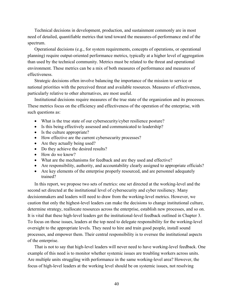Technical decisions in development, production, and sustainment commonly are in most need of detailed, quantifiable metrics that tend toward the measures-of-performance end of the spectrum.

Operational decisions (e.g., for system requirements, concepts of operations, or operational planning) require output-oriented performance metrics, typically at a higher level of aggregation than used by the technical community. Metrics must be related to the threat and operational environment. These metrics can be a mix of both measures of performance and measures of effectiveness.

Strategic decisions often involve balancing the importance of the mission to service or national priorities with the perceived threat and available resources. Measures of effectiveness, particularly relative to other alternatives, are most useful.

Institutional decisions require measures of the true state of the organization and its processes. These metrics focus on the efficiency and effectiveness of the operation of the enterprise, with such questions as:

- What is the true state of our cybersecurity/cyber resilience posture?
- Is this being effectively assessed and communicated to leadership?
- Is the culture appropriate?
- How effective are the current cybersecurity processes?
- Are they actually being used?
- Do they achieve the desired results?
- How do we know?
- What are the mechanisms for feedback and are they used and effective?
- Are responsibility, authority, and accountability clearly assigned to appropriate officials?
- Are key elements of the enterprise properly resourced, and are personnel adequately trained?

In this report, we propose two sets of metrics: one set directed at the working-level and the second set directed at the institutional level of cybersecurity and cyber resiliency. Many decisionmakers and leaders will need to draw from the working-level metrics. However, we caution that only the highest-level leaders can make the decisions to change institutional culture, determine strategy, reallocate resources across the enterprise, establish new processes, and so on. It is vital that these high-level leaders get the institutional-level feedback outlined in Chapter 3. To focus on those issues, leaders at the top need to delegate responsibility for the working-level oversight to the appropriate levels. They need to hire and train good people, install sound processes, and empower them. Their central responsibility is to oversee the institutional aspects of the enterprise.

That is not to say that high-level leaders will never need to have working-level feedback. One example of this need is to monitor whether systemic issues are troubling workers across units. Are multiple units struggling with performance in the same working-level area? However, the focus of high-level leaders at the working level should be on systemic issues, not resolving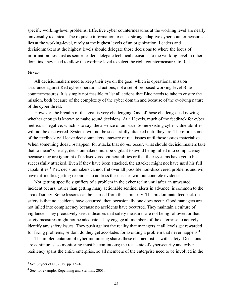specific working-level problems. Effective cyber countermeasures at the working level are nearly universally technical. The requisite information to enact strong, adaptive cyber countermeasures lies at the working-level, rarely at the highest levels of an organization. Leaders and decisionmakers at the highest levels should delegate those decisions to where the locus of information lies. Just as senior leaders delegate technical decisions to the working level in other domains, they need to allow the working level to select the right countermeasures to Red.

#### *Goals*

All decisionmakers need to keep their eye on the goal, which is operational mission assurance against Red cyber operational actions, not a set of proposed working-level Blue countermeasures. It is simply not feasible to list all actions that Blue needs to take to ensure the mission, both because of the complexity of the cyber domain and because of the evolving nature of the cyber threat.

However, the breadth of this goal is very challenging. One of those challenges is knowing whether enough is known to make sound decisions. At all levels, much of the feedback for cyber metrics is negative, which is to say, the absence of an issue. Some existing cyber vulnerabilities will not be discovered. Systems will not be successfully attacked until they are. Therefore, some of the feedback will leave decisionmakers unaware of real issues until those issues materialize. When something does *not* happen, for attacks that do *not* occur, what should decisionmakers take that to mean? Clearly, decisionmakers must be vigilant to avoid being lulled into complacency because they are ignorant of undiscovered vulnerabilities or that their systems have yet to be successfully attacked. Even if they have been attacked, the attacker might not have used his full capabilities.3 Yet, decisionmakers cannot fret over all possible non-discovered problems and will have difficulties getting resources to address these issues without concrete evidence.

Not getting specific signifiers of a problem in the cyber realm until after an unwanted incident occurs, rather than getting many actionable sentinel alerts in advance, is common to the area of safety. Some lessons can be learned from this similarity. The predominate feedback on safety is that no accidents have occurred, then occasionally one does occur. Good managers are not lulled into complacency because no accidents have occurred. They maintain a culture of vigilance. They proactively seek indicators that safety measures are not being followed or that safety measures might not be adequate. They engage all members of the enterprise to actively identify any safety issues. They push against the reality that managers at all levels get rewarded for fixing problems; seldom do they get accolades for avoiding a problem that never happens.<sup>4</sup>

The implementation of cyber monitoring shares these characteristics with safety: Decisions are continuous, so monitoring must be continuous; the real state of cybersecurity and cyber resiliency spans the entire enterprise, so all members of the enterprise need to be involved in the

 $3$  See Snyder et al., 2015, pp. 15–16.

<sup>4</sup> See, for example, Repenning and Sterman, 2001.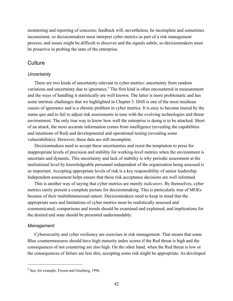monitoring and reporting of concerns; feedback will, nevertheless, be incomplete and sometimes inconsistent, so decisionmakers must interpret cyber metrics as part of a risk management process; and issues might be difficult to discover and the signals subtle, so decisionmakers must be proactive in probing the state of the enterprise.

# **Culture**

#### *Uncertainty*

There are two kinds of uncertainty relevant to cyber metrics: uncertainty from random variations and uncertainty due to ignorance.<sup>5</sup> The first kind is often encountered in measurement and the ways of handling it statistically are well known. The latter is more problematic and has some intrinsic challenges that we highlighted in Chapter 3. Drift is one of the most insidious causes of ignorance and is a chronic problem in cyber metrics. It is easy to become inured by the status quo and to fail to adjust risk assessments in tune with the evolving technologies and threat environment. The only true way to know how well the enterprise is doing is to be attacked. Short of an attack, the most accurate information comes from intelligence (revealing the capabilities and intentions of Red) and developmental and operational testing (revealing some vulnerabilities). However, these data are still incomplete.

Decisionmakers need to accept these uncertainties and resist the temptation to press for inappropriate levels of precision and stability for working-level metrics when the environment is uncertain and dynamic. This uncertainty and lack of stability is why periodic assessment at the institutional level by knowledgeable personnel independent of the organization being assessed is so important. Accepting appropriate levels of risk is a key responsibility of senior leadership. Independent assessment helps ensure that these risk acceptance decisions are well informed.

This is another way of saying that cyber metrics are merely *indicators*. By themselves, cyber metrics rarely present a complete picture for decisionmaking. This is particularly true of MOEs because of their multidimensional nature. Decisionmakers need to keep in mind that the appropriate uses and limitations of cyber metrics must be realistically assessed and communicated; comparisons and trends should be examined and explained; and implications for the desired end state should be presented understandably.

#### *Management*

Cybersecurity and cyber resiliency are exercises in risk management. That means that some Blue countermeasures should have high maturity index scores if the Red threat is high and the consequences of not countering are also high. On the other hand, when the Red threat is low or the consequences of failure are less dire, accepting some risk might be appropriate. As developed

<sup>5</sup> See, for example, Ferson and Ginzburg, 1996.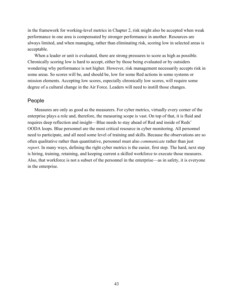in the framework for working-level metrics in Chapter 2, risk might also be accepted when weak performance in one area is compensated by stronger performance in another. Resources are always limited, and when managing, rather than eliminating risk, scoring low in selected areas is acceptable.

When a leader or unit is evaluated, there are strong pressures to score as high as possible. Chronically scoring low is hard to accept, either by those being evaluated or by outsiders wondering why performance is not higher. However, risk management necessarily accepts risk in some areas. So scores will be, and should be, low for some Red actions in some systems or mission elements. Accepting low scores, especially chronically low scores, will require some degree of a cultural change in the Air Force. Leaders will need to instill those changes.

## People

Measures are only as good as the measurers. For cyber metrics, virtually every corner of the enterprise plays a role and, therefore, the measuring scope is vast. On top of that, it is fluid and requires deep reflection and insight—Blue needs to stay ahead of Red and inside of Reds' OODA loops. Blue personnel are the most critical resource in cyber monitoring. All personnel need to participate, and all need some level of training and skills. Because the observations are so often qualitative rather than quantitative, personnel must also *communicate* rather than just *report*. In many ways, defining the right cyber metrics is the easier, first step. The hard, next step is hiring, training, retaining, and keeping current a skilled workforce to execute those measures. Also, that workforce is not a subset of the personnel in the enterprise—as in safety, it is everyone in the enterprise.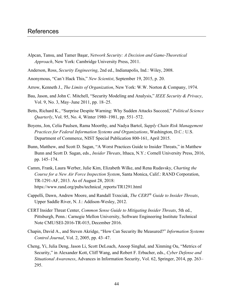# **References**

- Alpcan, Tansu, and Tamer Başar, *Network Security: A Decision and Game-Theoretical Approach*, New York: Cambridge University Press, 2011.
- Anderson, Ross, *Security Engineering*, 2nd ed., Indianapolis, Ind.: Wiley, 2008.
- Anonymous, "Can't Hack This," *New Scientist*, September 19, 2015, p. 20.
- Arrow, Kenneth J., *The Limits of Organization*, New York: W.W. Norton & Company, 1974.
- Bau, Jason, and John C. Mitchell, "Security Modeling and Analysis," *IEEE Security & Privacy*, Vol. 9, No. 3, May–June 2011, pp. 18–25.
- Betts, Richard K., "Surprise Despite Warning: Why Sudden Attacks Succeed," *Political Science Quarterly*, Vol. 95, No. 4, Winter 1980–1981, pp. 551–572.
- Boyens, Jon, Celia Paulsen, Rama Moorthy, and Nadya Bartol, *Supply Chain Risk Management Practices for Federal Information Systems and Organizations*, Washington, D.C.: U.S. Department of Commerce, NIST Special Publication 800-161, April 2015.
- Bunn, Matthew, and Scott D. Sagan, "A Worst Practices Guide to Insider Threats," in Matthew Bunn and Scott D. Sagan, eds., *Insider Threats*, Ithaca, N.Y.: Cornell University Press, 2016, pp. 145–174.
- Camm, Frank, Laura Werber, Julie Kim, Elizabeth Wilke, and Rena Rudavsky, *Charting the Course for a New Air Force Inspection System*, Santa Monica, Calif.: RAND Corporation, TR-1291-AF, 2013. As of August 28, 2018: [https://www.rand.org/pubs/technical\\_reports/TR1291.html](https://www.rand.org/pubs/technical_reports/TR1291.html)
- Cappelli, Dawn, Andrew Moore, and Randall Trzeciak, *The CERT® Guide to Insider Threats*, Upper Saddle River, N. J.: Addison-Wesley, 2012.
- CERT Insider Threat Center, *Common Sense Guide to Mitigating Insider Threats*, 5th ed., Pittsburgh, Penn.: Carnegie Mellon University, Software Engineering Institute Technical Note CMU/SEI-2016-TR-015, December 2016.
- Chapin, David A., and Steven Akridge, "How Can Security Be Measured?" *Information Systems Control Journal*, Vol. 2, 2005, pp. 43–47.
- Cheng, Yi, Julia Deng, Jason Li, Scott DeLoach, Anoop Singhal, and Xinming Ou, "Metrics of Security," in Alexander Kott, Cliff Wang, and Robert F. Erbacher, eds., *Cyber Defense and Situational Awareness*, Advances in Information Security, Vol. 62, Springer, 2014, pp. 263– 295.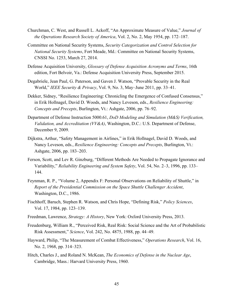- Churchman, C. West, and Russell L. Ackoff, "An Approximate Measure of Value," *Journal of the Operations Research Society of America*, Vol. 2, No. 2, May 1954, pp. 172–187.
- Committee on National Security Systems, *Security Categorization and Control Selection for National Security Systems*, Fort Meade, Md.: Committee on National Security Systems, CNSSI No. 1253, March 27, 2014.
- Defense Acquisition University, *Glossary of Defense Acquisition Acronyms and Terms*, 16th edition, Fort Belvoir, Va.: Defense Acquisition University Press, September 2015.
- Degabriele, Jean Paul, G. Paterson, and Gaven J. Watson, "Provable Security in the Real World," *IEEE Security & Privacy*, Vol. 9, No. 3, May–June 2011, pp. 33–41.
- Dekker, Sidney, "Resilience Engineering: Chronicling the Emergence of Confused Consensus," in Erik Hollnagel, David D. Woods, and Nancy Leveson, eds., *Resilience Engineering: Concepts and Precepts*, Burlington, Vt.: Ashgate, 2006, pp. 76–92.
- Department of Defense Instruction 5000.61, *DoD Modeling and Simulation (M&S) Verification, Validation, and Accreditation (VV&A)*, Washington, D.C.: U.S. Department of Defense, December 9, 2009.
- Dijkstra, Arthur, "Safety Management in Airlines," in Erik Hollnagel, David D. Woods, and Nancy Leveson, eds., *Resilience Engineering: Concepts and Precepts*, Burlington, Vt.: Ashgate, 2006, pp. 183–203.
- Ferson, Scott, and Lev R. Ginzburg, "Different Methods Are Needed to Propagate Ignorance and Variability," *Reliability Engineering and System Safety*, Vol. 54, No. 2–3, 1996, pp. 133– 144.
- Feynman, R. P., "Volume 2, Appendix F: Personal Observations on Reliability of Shuttle," in *Report of the Presidential Commission on the Space Shuttle Challenger Accident*, Washington, D.C., 1986.
- Fischhoff, Baruch, Stephen R. Watson, and Chris Hope, "Defining Risk," *Policy Sciences*, Vol. 17, 1984, pp. 123–139.
- Freedman, Lawrence, *Strategy: A History*, New York: Oxford University Press, 2013.
- Freudenburg, William R., "Perceived Risk, Real Risk: Social Science and the Art of Probabilistic Risk Assessment," *Science*, Vol. 242, No. 4875, 1988, pp. 44–49.
- Hayward, Philip, "The Measurement of Combat Effectiveness," *Operations Research*, Vol. 16, No. 2, 1968, pp. 314–323.
- Hitch, Charles J., and Roland N. McKean, *The Economics of Defense in the Nuclear Age*, Cambridge, Mass.: Harvard University Press, 1960.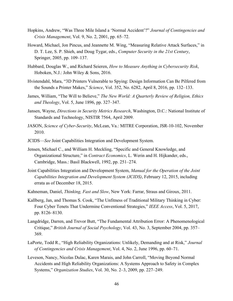- Hopkins, Andrew, "Was Three Mile Island a 'Normal Accident'?" *Journal of Contingencies and Crisis Management*, Vol. 9, No. 2, 2001, pp. 65–72.
- Howard, Michael, Jon Pincus, and Jeannette M. Wing, "Measuring Relative Attack Surfaces," in D. T. Lee, S. P. Shieh, and Doug Tygar, eds., *Computer Security in the 21st Century*, Springer, 2005, pp. 109–137.
- Hubbard, Douglas W., and Richard Seieren, *How to Measure Anything in Cybersecurity Risk*, Hoboken, N.J.: John Wiley & Sons, 2016.
- Hvistendahl, Mara, "3D Printers Vulnerable to Spying: Design Information Can Be Pilfered from the Sounds a Printer Makes," *Science*, Vol. 352, No. 6282, April 8, 2016, pp. 132–133.
- James, William, "The Will to Believe," *The New World: A Quarterly Review of Religion, Ethics and Theology*, Vol. 5, June 1896, pp. 327–347.
- Jansen, Wayne, *Directions in Security Metrics Research*, Washington, D.C.: National Institute of Standards and Technology, NISTIR 7564, April 2009.
- JASON, *Science of Cyber-Security*, McLean, Va.: MITRE Corporation, JSR-10-102, November 2010.
- JCIDS—*See* Joint Capabilities Integration and Development System.
- Jensen, Michael C., and William H. Meckling, "Specific and General Knowledge, and Organizational Structure," in *Contract Economics*, L. Werin and H. Hijkander, eds., Cambridge, Mass.: Basil Blackwell, 1992, pp. 251–274.
- Joint Capabilities Integration and Development System, *Manual for the Operation of the Joint Capabilities Integration and Development System (JCIDS)*, February 12, 2015, including errata as of December 18, 2015.
- Kahneman, Daniel, *Thinking, Fast and Slow*, New York: Farrar, Straus and Giroux, 2011.
- Kallberg, Jan, and Thomas S. Cook, "The Unfitness of Traditional Military Thinking in Cyber: Four Cyber Tenets That Undermine Conventional Strategies," *IEEE Access*, Vol. 5, 2017, pp. 8126–8130.
- Langdridge, Darren, and Trevor Butt, "The Fundamental Attribution Error: A Phenomenological Critique," *British Journal of Social Psychology*, Vol. 43, No. 3, September 2004, pp. 357– 369.
- LaPorte, Todd R., "High Reliability Organizations: Unlikely, Demanding and at Risk," *Journal of Contingencies and Crisis Management*, Vol. 4, No. 2, June 1996, pp. 60–71.
- Leveson, Nancy, Nicolas Dulac, Karen Marais, and John Carroll, "Moving Beyond Normal Accidents and High Reliability Organizations: A Systems Approach to Safety in Complex Systems," *Organization Studies*, Vol. 30, No. 2–3, 2009, pp. 227–249.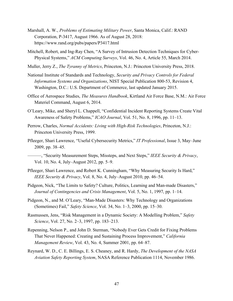- Marshall, A. W., *Problems of Estimating Military Power*, Santa Monica, Calif.: RAND Corporation, P-3417, August 1966. As of August 28, 2018: <https://www.rand.org/pubs/papers/P3417.html>
- Mitchell, Robert, and Ing-Ray Chen, "A Survey of Intrusion Detection Techniques for Cyber-Physical Systems," *ACM Computing Surveys*, Vol. 46, No. 4, Article 55, March 2014.
- Muller, Jerry Z., *The Tyranny of Metrics*, Princeton, N.J.: Princeton University Press, 2018.
- National Institute of Standards and Technology, *Security and Privacy Controls for Federal Information Systems and Organizations*, NIST Special Publication 800-53, Revision 4, Washington, D.C.: U.S. Department of Commerce, last updated January 2015.
- Office of Aerospace Studies, *The Measures Handbook*, Kirtland Air Force Base, N.M.: Air Force Materiel Command, August 6, 2014.
- O'Leary, Mike, and Sheryl L. Chappell, "Confidential Incident Reporting Systems Create Vital Awareness of Safety Problems," *ICAO Journal*, Vol. 51, No. 8, 1996, pp. 11–13.
- Perrow, Charles, *Normal Accidents: Living with High-Risk Technologies*, Princeton, N.J.: Princeton University Press, 1999.
- Pfleeger, Shari Lawrence, "Useful Cybersecurity Metrics," *IT Professional*, Issue 3, May–June 2009, pp. 38–45.
	- ———, "Security Measurement Steps, Missteps, and Next Steps," *IEEE Security & Privacy*, Vol. 10, No. 4, July–August 2012, pp. 5–9.
- Pfleeger, Shari Lawrence, and Robert K. Cunningham, "Why Measuring Security Is Hard," *IEEE Security & Privacy*, Vol. 8, No. 4, July–August 2010, pp. 46–54.
- Pidgeon, Nick, "The Limits to Safety? Culture, Politics, Learning and Man-made Disasters," *Journal of Contingencies and Crisis Management*, Vol. 5, No. 1, 1997, pp. 1–14.
- Pidgeon, N., and M. O'Leary, "Man-Made Disasters: Why Technology and Organizations (Sometimes) Fail," *Safety Science*, Vol. 34, No. 1–3, 2000, pp. 15–30.
- Rasmussen, Jens, "Risk Management in a Dynamic Society: A Modelling Problem," *Safety Science*, Vol. 27, No. 2–3, 1997, pp. 183–213.
- Repenning, Nelson P., and John D. Sterman, "Nobody Ever Gets Credit for Fixing Problems That Never Happened: Creating and Sustaining Process Improvement," *California Management Review*, Vol. 43, No. 4, Summer 2001, pp. 64–87.
- Reynard, W. D., C. E. Billings, E. S. Cheaney, and R. Hardy, *The Development of the NASA Aviation Safety Reporting System*, NASA Reference Publication 1114, November 1986.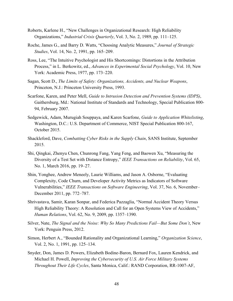- Roberts, Karlene H., "New Challenges in Organizational Research: High Reliability Organizations," *Industrial Crisis Quarterly*, Vol. 3, No. 2, 1989, pp. 111–125.
- Roche, James G., and Barry D. Watts, "Choosing Analytic Measures," *Journal of Strategic Studies*, Vol. 14, No. 2, 1991, pp. 165–209.
- Ross, Lee, "The Intuitive Psychologist and His Shortcomings: Distortions in the Attribution Process," in L. Berkowitz, ed., *Advances in Experimental Social Psychology*, Vol. 10, New York: Academic Press, 1977, pp. 173–220.
- Sagan, Scott D., *The Limits of Safety: Organizations, Accidents, and Nuclear Weapons*, Princeton, N.J.: Princeton University Press, 1993.
- Scarfone, Karen, and Peter Mell, *Guide to Intrusion Detection and Prevention Systems (IDPS)*, Gaithersburg, Md.: National Institute of Standards and Technology, Special Publication 800- 94, February 2007.
- Sedgewick, Adam, Murugiah Souppaya, and Karen Scarfone, *Guide to Application Whitelisting*, Washington, D.C.: U.S. Department of Commerce, NIST Special Publication 800-167, October 2015.
- Shackleford, Dave, *Combatting Cyber Risks in the Supply Chain*, SANS Institute, September 2015.
- Shi, Qingkai, Zhenyu Chen, Chunrong Fang, Yang Feng, and Baowen Xu, "Measuring the Diversity of a Test Set with Distance Entropy," *IEEE Transactions on Reliability*, Vol. 65, No. 1, March 2016, pp. 19–27.
- Shin, Yonghee, Andrew Meneely, Laurie Williams, and Jason A. Osborne, "Evaluating Complexity, Code Churn, and Developer Activity Metrics as Indicators of Software Vulnerabilities," *IEEE Transactions on Software Engineering*, Vol. 37, No. 6, November– December 2011, pp. 772–787.
- Shrivastava, Samir, Karan Sonpar, and Federica Pazzaglia, "Normal Accident Theory Versus High Reliability Theory: A Resolution and Call for an Open Systems View of Accidents," *Human Relations*, Vol. 62, No. 9, 2009, pp. 1357–1390.
- Silver, Nate, *The Signal and the Noise: Why So Many Predictions Fail—But Some Don't*, New York: Penguin Press, 2012.
- Simon, Herbert A., "Bounded Rationality and Organizational Learning," *Organization Science*, Vol. 2, No. 1, 1991, pp. 125–134.
- Snyder, Don, James D. Powers, Elizabeth Bodine-Baron, Bernard Fox, Lauren Kendrick, and Michael H. Powell, *Improving the Cybersecurity of U.S. Air Force Military Systems Throughout Their Life Cycles*, Santa Monica, Calif.: RAND Corporation, RR-1007-AF,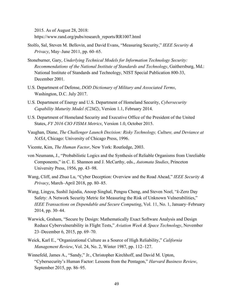2015. As of August 28, 2018:

[https://www.rand.org/pubs/research\\_reports/RR1007.html](https://www.rand.org/pubs/research_reports/RR1007.html) 

- Stolfo, Sal, Steven M. Bellovin, and David Evans, "Measuring Security," *IEEE Security & Privacy*, May–June 2011, pp. 60–65.
- Stoneburner, Gary, *Underlying Technical Models for Information Technology Security: Recommendations of the National Institute of Standards and Technology*, Gaithersburg, Md.: National Institute of Standards and Technology, NIST Special Publication 800-33, December 2001.
- U.S. Department of Defense, *DOD Dictionary of Military and Associated Terms*, Washington, D.C. July 2017.
- U.S. Department of Energy and U.S. Department of Homeland Security, *Cybersecurity Capability Maturity Model (C2M2)*, Version 1.1, February 2014.
- U.S. Department of Homeland Security and Executive Office of the President of the United States, *FY 2016 CIO FISMA Metrics*, Version 1.0, October 2015.
- Vaughan, Diane, *The Challenger Launch Decision: Risky Technology, Culture, and Deviance at NASA*, Chicago: University of Chicago Press, 1996.
- Vicente, Kim, *The Human Factor*, New York: Routledge, 2003.
- von Neumann, J., "Probabilistic Logics and the Synthesis of Reliable Organisms from Unreliable Components," in C. E. Shannon and J. McCarthy, eds., *Automata Studies*, Princeton University Press, 1956, pp. 43–98.
- Wang, Cliff, and Zhuo Lu, "Cyber Deception: Overview and the Road Ahead," *IEEE Security & Privacy*, March–April 2018, pp. 80–85.
- Wang, Lingyu, Sushil Jajodia, Anoop Singhal, Pengsu Cheng, and Steven Noel, "*k*-Zero Day Safety: A Network Security Metric for Measuring the Risk of Unknown Vulnerabilities," *IEEE Transactions on Dependable and Secure Computing*, Vol. 11, No. 1, January–February 2014, pp. 30–44.
- Warwick, Graham, "Secure by Design: Mathematically Exact Software Analysis and Design Reduce Cybervulnerability in Flight Tests," *Aviation Week & Space Technology*, November 23–December 6, 2015, pp. 69–70.
- Weick, Karl E., "Organizational Culture as a Source of High Reliability," *California Management Review*, Vol. 24, No. 2, Winter 1987, pp. 112–127.
- Winnefeld, James A., "Sandy," Jr., Christopher Kirchhoff, and David M. Upton, "Cybersecurity's Human Factor: Lessons from the Pentagon," *Harvard Business Review*, September 2015, pp. 86–95.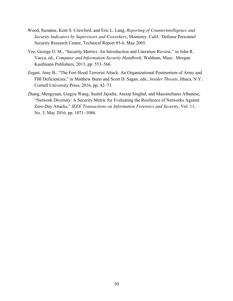- Wood, Suzanne, Kent S. Crawford, and Eric L. Lang, *Reporting of Counterintelligence and Security Indicators by Supervisors and Coworkers*, Monterey, Calif.: Defense Personnel Security Research Center, Technical Report 05-6, May 2005.
- Yee, George O. M., "Security Metrics: An Introduction and Literature Review," in John R. Vacca, ed., *Computer and Information Security Handbook*, Waltham, Mass.: Morgan Kaufmann Publishers, 2013, pp. 553–566.
- Zegart, Amy B., "The Fort Hood Terrorist Attack: An Organizational Postmortem of Army and FBI Deficiencies," in Matthew Bunn and Scott D. Sagan, eds., *Insider Threats*, Ithaca, N.Y.: Cornell University Press, 2016, pp. 42–73.
- Zhang, Mengyuan, Lingyu Wang, Sushil Jajodia, Anoop Singhal, and Massimiliano Albanese, "Network Diversity: A Security Metric for Evaluating the Resilience of Networks Against Zero-Day Attacks," *IEEE Transactions on Information Forensics and Security*, Vol. 11, No. 5, May 2016, pp. 1071–1086.